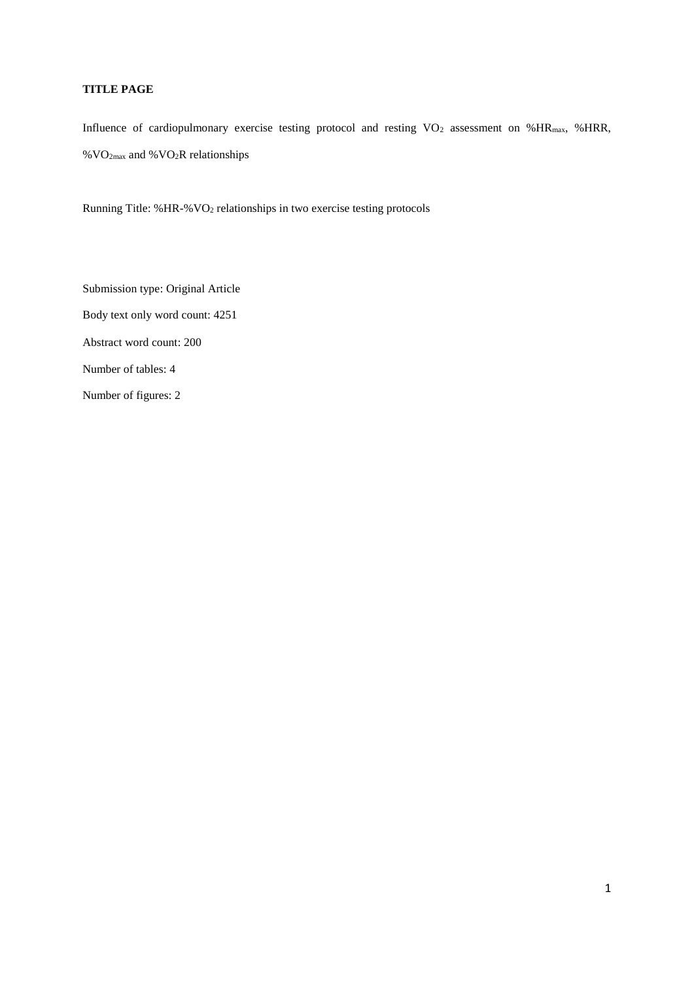# **TITLE PAGE**

Influence of cardiopulmonary exercise testing protocol and resting VO<sub>2</sub> assessment on %HR<sub>max</sub>, %HRR, % $VO<sub>2max</sub>$  and % $VO<sub>2</sub>R$  relationships

Running Title: %HR-%VO<sup>2</sup> relationships in two exercise testing protocols

Submission type: Original Article Body text only word count: 4251 Abstract word count: 200 Number of tables: 4 Number of figures: 2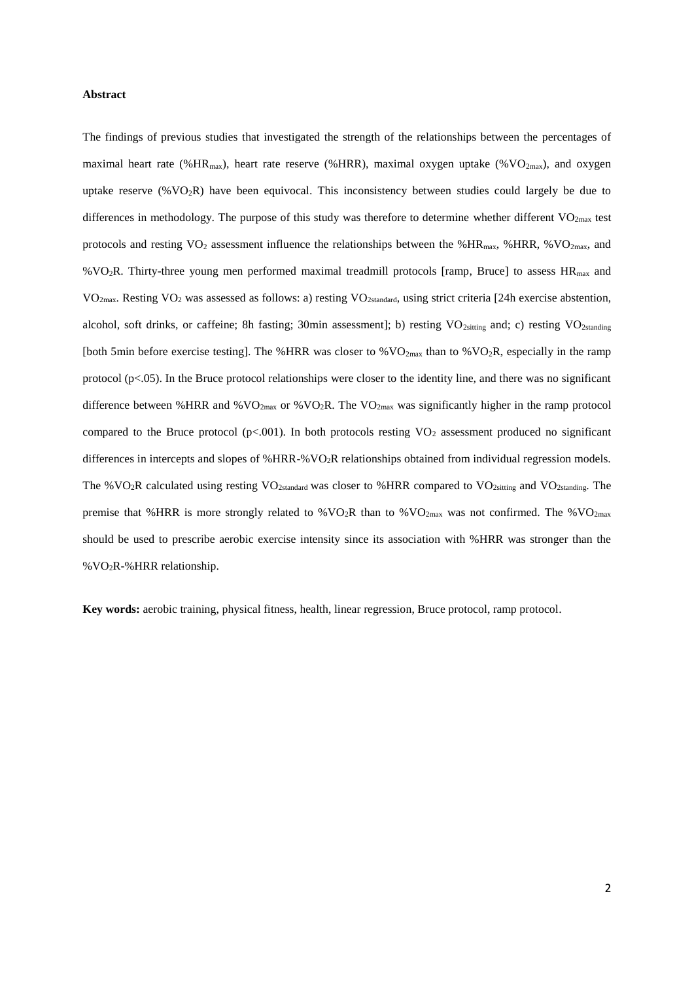### **Abstract**

The findings of previous studies that investigated the strength of the relationships between the percentages of maximal heart rate (%HR<sub>max</sub>), heart rate reserve (%HRR), maximal oxygen uptake (%VO<sub>2max</sub>), and oxygen uptake reserve (% $VO<sub>2</sub>R$ ) have been equivocal. This inconsistency between studies could largely be due to differences in methodology. The purpose of this study was therefore to determine whether different VO<sub>2max</sub> test protocols and resting  $VO_2$  assessment influence the relationships between the %HR<sub>max</sub>, %HRR, %VO<sub>2max</sub>, and %VO2R. Thirty-three young men performed maximal treadmill protocols [ramp, Bruce] to assess HRmax and VO<sub>2max</sub>. Resting VO<sub>2</sub> was assessed as follows: a) resting VO<sub>2standard</sub>, using strict criteria [24h exercise abstention, alcohol, soft drinks, or caffeine; 8h fasting; 30min assessment]; b) resting VO<sub>2sitting</sub> and; c) resting VO<sub>2standing</sub> [both 5min before exercise testing]. The %HRR was closer to %VO<sub>2max</sub> than to %VO<sub>2</sub>R, especially in the ramp protocol  $(p<.05)$ . In the Bruce protocol relationships were closer to the identity line, and there was no significant difference between %HRR and %VO<sub>2max</sub> or %VO<sub>2</sub>R. The VO<sub>2max</sub> was significantly higher in the ramp protocol compared to the Bruce protocol ( $p<0.001$ ). In both protocols resting VO<sub>2</sub> assessment produced no significant differences in intercepts and slopes of %HRR-%VO2R relationships obtained from individual regression models. The %VO<sub>2</sub>R calculated using resting VO<sub>2standard</sub> was closer to %HRR compared to VO<sub>2sitting</sub> and VO<sub>2standing</sub>. The premise that %HRR is more strongly related to % $VO<sub>2</sub>R$  than to % $VO<sub>2max</sub>$  was not confirmed. The % $VO<sub>2max</sub>$ should be used to prescribe aerobic exercise intensity since its association with %HRR was stronger than the %VO2R-%HRR relationship.

**Key words:** aerobic training, physical fitness, health, linear regression, Bruce protocol, ramp protocol.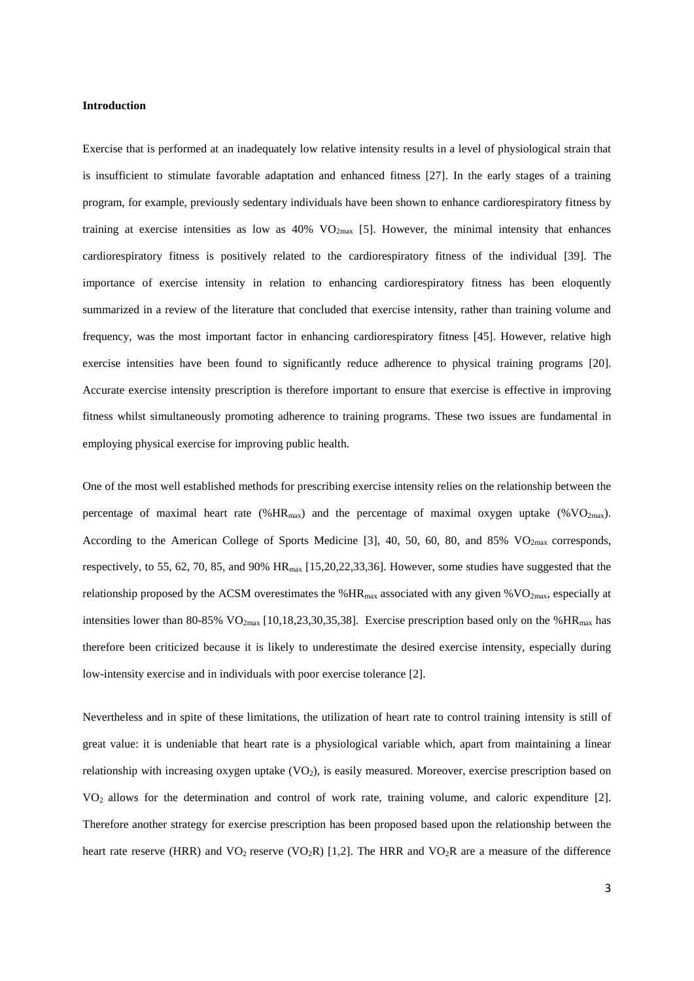### **Introduction**

Exercise that is performed at an inadequately low relative intensity results in a level of physiological strain that is insufficient to stimulate favorable adaptation and enhanced fitness [27]. In the early stages of a training program, for example, previously sedentary individuals have been shown to enhance cardiorespiratory fitness by training at exercise intensities as low as  $40\%$  VO<sub>2max</sub> [5]. However, the minimal intensity that enhances cardiorespiratory fitness is positively related to the cardiorespiratory fitness of the individual [39]. The importance of exercise intensity in relation to enhancing cardiorespiratory fitness has been eloquently summarized in a review of the literature that concluded that exercise intensity, rather than training volume and frequency, was the most important factor in enhancing cardiorespiratory fitness [45]. However, relative high exercise intensities have been found to significantly reduce adherence to physical training programs [20]. Accurate exercise intensity prescription is therefore important to ensure that exercise is effective in improving fitness whilst simultaneously promoting adherence to training programs. These two issues are fundamental in employing physical exercise for improving public health.

One of the most well established methods for prescribing exercise intensity relies on the relationship between the percentage of maximal heart rate (% $HR_{max}$ ) and the percentage of maximal oxygen uptake (% $VO_{2max}$ ). According to the American College of Sports Medicine [3], 40, 50, 60, 80, and 85% VO<sub>2max</sub> corresponds, respectively, to 55, 62, 70, 85, and 90% HRmax [15,20,22,33,36]. However, some studies have suggested that the relationship proposed by the ACSM overestimates the  $%HR_{max}$  associated with any given  $%VO_{2max}$ , especially at intensities lower than 80-85% VO<sub>2max</sub> [10,18,23,30,35,38]. Exercise prescription based only on the %HR<sub>max</sub> has therefore been criticized because it is likely to underestimate the desired exercise intensity, especially during low-intensity exercise and in individuals with poor exercise tolerance [2].

Nevertheless and in spite of these limitations, the utilization of heart rate to control training intensity is still of great value: it is undeniable that heart rate is a physiological variable which, apart from maintaining a linear relationship with increasing oxygen uptake  $(VO<sub>2</sub>)$ , is easily measured. Moreover, exercise prescription based on VO2 allows for the determination and control of work rate, training volume, and caloric expenditure [2]. Therefore another strategy for exercise prescription has been proposed based upon the relationship between the heart rate reserve (HRR) and  $VO_2$  reserve (VO<sub>2</sub>R) [1,2]. The HRR and VO<sub>2</sub>R are a measure of the difference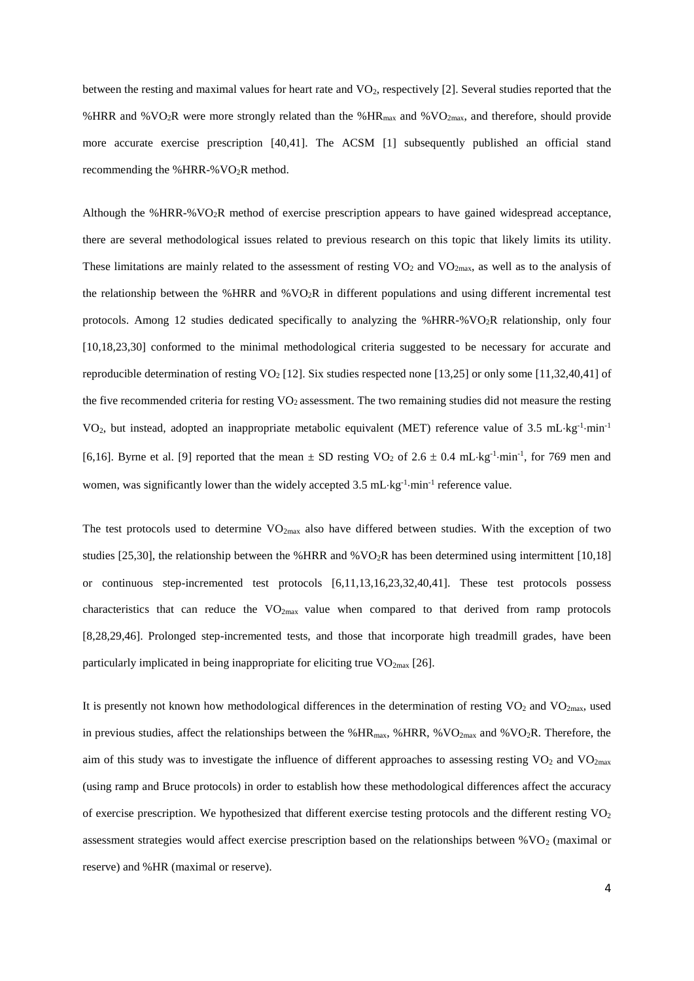between the resting and maximal values for heart rate and VO<sub>2</sub>, respectively [2]. Several studies reported that the %HRR and %VO<sub>2</sub>R were more strongly related than the %HR<sub>max</sub> and %VO<sub>2max</sub>, and therefore, should provide more accurate exercise prescription [40,41]. The ACSM [1] subsequently published an official stand recommending the %HRR-% $VO<sub>2</sub>R$  method.

Although the %HRR-%VO2R method of exercise prescription appears to have gained widespread acceptance, there are several methodological issues related to previous research on this topic that likely limits its utility. These limitations are mainly related to the assessment of resting  $VO<sub>2</sub>$  and  $VO<sub>2max</sub>$ , as well as to the analysis of the relationship between the %HRR and %VO2R in different populations and using different incremental test protocols. Among 12 studies dedicated specifically to analyzing the %HRR-%VO2R relationship, only four [10,18,23,30] conformed to the minimal methodological criteria suggested to be necessary for accurate and reproducible determination of resting VO<sub>2</sub> [12]. Six studies respected none [13,25] or only some [11,32,40,41] of the five recommended criteria for resting VO<sub>2</sub> assessment. The two remaining studies did not measure the resting VO<sub>2</sub>, but instead, adopted an inappropriate metabolic equivalent (MET) reference value of 3.5 mL·kg<sup>-1</sup>·min<sup>-1</sup> [6,16]. Byrne et al. [9] reported that the mean  $\pm$  SD resting VO<sub>2</sub> of 2.6  $\pm$  0.4 mL·kg<sup>-1</sup>·min<sup>-1</sup>, for 769 men and women, was significantly lower than the widely accepted 3.5 mL·kg<sup>-1</sup>·min<sup>-1</sup> reference value.

The test protocols used to determine  $VO_{2max}$  also have differed between studies. With the exception of two studies [25,30], the relationship between the %HRR and %VO<sub>2</sub>R has been determined using intermittent [10,18] or continuous step-incremented test protocols [6,11,13,16,23,32,40,41]. These test protocols possess characteristics that can reduce the  $VO_{2max}$  value when compared to that derived from ramp protocols [8,28,29,46]. Prolonged step-incremented tests, and those that incorporate high treadmill grades, have been particularly implicated in being inappropriate for eliciting true  $VO_{2max}$  [26].

It is presently not known how methodological differences in the determination of resting  $VO<sub>2</sub>$  and  $VO<sub>2max</sub>$ , used in previous studies, affect the relationships between the %HR<sub>max</sub>, %HRR, %VO<sub>2max</sub> and %VO<sub>2</sub>R. Therefore, the aim of this study was to investigate the influence of different approaches to assessing resting  $VO<sub>2</sub>$  and  $VO<sub>2max</sub>$ (using ramp and Bruce protocols) in order to establish how these methodological differences affect the accuracy of exercise prescription. We hypothesized that different exercise testing protocols and the different resting  $VO<sub>2</sub>$ assessment strategies would affect exercise prescription based on the relationships between  $\%$  VO<sub>2</sub> (maximal or reserve) and %HR (maximal or reserve).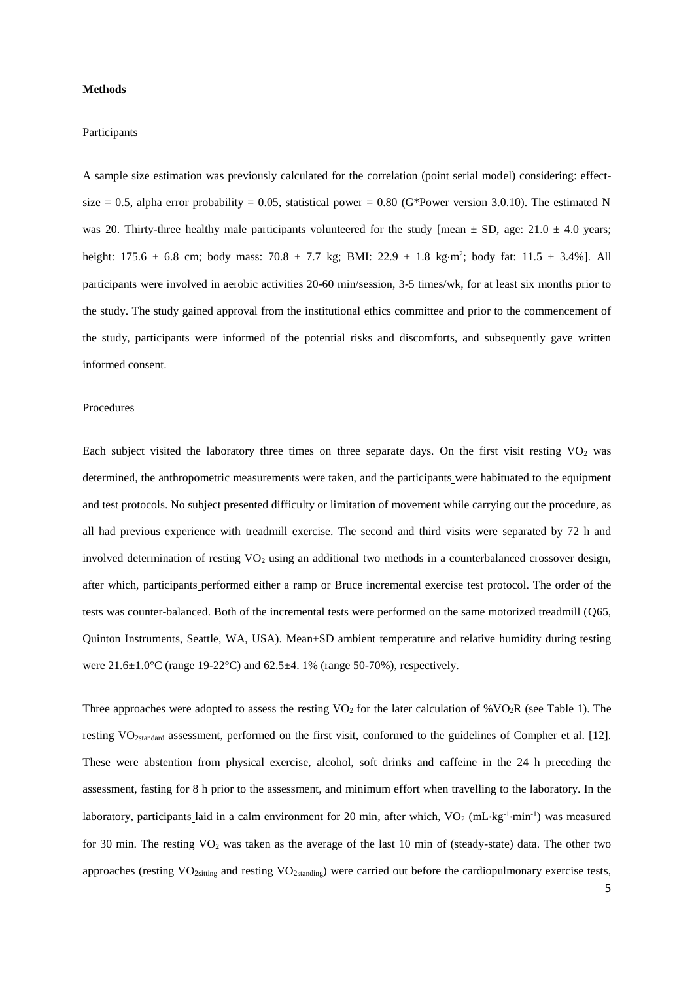### **Methods**

### Participants

A sample size estimation was previously calculated for the correlation (point serial model) considering: effectsize = 0.5, alpha error probability = 0.05, statistical power = 0.80 (G\*Power version 3.0.10). The estimated N was 20. Thirty-three healthy male participants volunteered for the study [mean  $\pm$  SD, age: 21.0  $\pm$  4.0 years; height:  $175.6 \pm 6.8$  cm; body mass:  $70.8 \pm 7.7$  kg; BMI:  $22.9 \pm 1.8$  kg·m<sup>2</sup>; body fat:  $11.5 \pm 3.4$ %]. All participants were involved in aerobic activities 20-60 min/session, 3-5 times/wk, for at least six months prior to the study. The study gained approval from the institutional ethics committee and prior to the commencement of the study, participants were informed of the potential risks and discomforts, and subsequently gave written informed consent.

#### Procedures

Each subject visited the laboratory three times on three separate days. On the first visit resting  $VO<sub>2</sub>$  was determined, the anthropometric measurements were taken, and the participants were habituated to the equipment and test protocols. No subject presented difficulty or limitation of movement while carrying out the procedure, as all had previous experience with treadmill exercise. The second and third visits were separated by 72 h and involved determination of resting VO<sub>2</sub> using an additional two methods in a counterbalanced crossover design, after which, participants performed either a ramp or Bruce incremental exercise test protocol. The order of the tests was counter-balanced. Both of the incremental tests were performed on the same motorized treadmill (Q65, Quinton Instruments, Seattle, WA, USA). Mean±SD ambient temperature and relative humidity during testing were 21.6±1.0°C (range 19-22°C) and 62.5±4. 1% (range 50-70%), respectively.

Three approaches were adopted to assess the resting  $VO<sub>2</sub>$  for the later calculation of %VO<sub>2</sub>R (see Table 1). The resting VO2standard assessment, performed on the first visit, conformed to the guidelines of Compher et al. [12]. These were abstention from physical exercise, alcohol, soft drinks and caffeine in the 24 h preceding the assessment, fasting for 8 h prior to the assessment, and minimum effort when travelling to the laboratory. In the laboratory, participants laid in a calm environment for 20 min, after which, VO<sub>2</sub> (mL·kg<sup>-1</sup>·min<sup>-1</sup>) was measured for 30 min. The resting VO<sub>2</sub> was taken as the average of the last 10 min of (steady-state) data. The other two approaches (resting VO<sub>2sitting</sub> and resting VO<sub>2standing</sub>) were carried out before the cardiopulmonary exercise tests,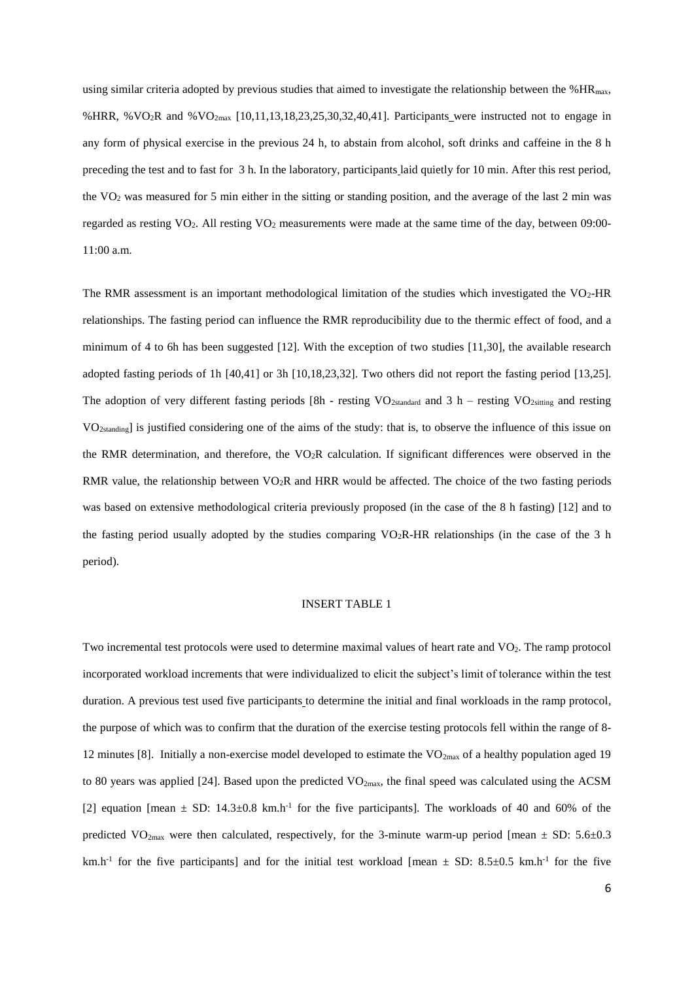using similar criteria adopted by previous studies that aimed to investigate the relationship between the %HR<sub>max</sub>, %HRR, %VO2R and %VO2max [10,11,13,18,23,25,30,32,40,41]. Participants were instructed not to engage in any form of physical exercise in the previous 24 h, to abstain from alcohol, soft drinks and caffeine in the 8 h preceding the test and to fast for 3 h. In the laboratory, participants laid quietly for 10 min. After this rest period, the VO<sup>2</sup> was measured for 5 min either in the sitting or standing position, and the average of the last 2 min was regarded as resting VO<sub>2</sub>. All resting VO<sub>2</sub> measurements were made at the same time of the day, between 09:00-11:00 a.m.

The RMR assessment is an important methodological limitation of the studies which investigated the VO<sub>2</sub>-HR relationships. The fasting period can influence the RMR reproducibility due to the thermic effect of food, and a minimum of 4 to 6h has been suggested [12]. With the exception of two studies [11,30], the available research adopted fasting periods of 1h [40,41] or 3h [10,18,23,32]. Two others did not report the fasting period [13,25]. The adoption of very different fasting periods  $[8h -$ resting VO<sub>2standard</sub> and 3 h – resting VO<sub>2sitting</sub> and resting VO<sub>2standing</sub> is justified considering one of the aims of the study: that is, to observe the influence of this issue on the RMR determination, and therefore, the  $VO<sub>2</sub>R$  calculation. If significant differences were observed in the RMR value, the relationship between  $VO<sub>2</sub>R$  and HRR would be affected. The choice of the two fasting periods was based on extensive methodological criteria previously proposed (in the case of the 8 h fasting) [12] and to the fasting period usually adopted by the studies comparing VO<sub>2</sub>R-HR relationships (in the case of the 3 h period).

### INSERT TABLE 1

Two incremental test protocols were used to determine maximal values of heart rate and VO2. The ramp protocol incorporated workload increments that were individualized to elicit the subject's limit of tolerance within the test duration. A previous test used five participants to determine the initial and final workloads in the ramp protocol, the purpose of which was to confirm that the duration of the exercise testing protocols fell within the range of 8- 12 minutes [8]. Initially a non-exercise model developed to estimate the VO<sub>2max</sub> of a healthy population aged 19 to 80 years was applied [24]. Based upon the predicted  $VO_{2max}$ , the final speed was calculated using the ACSM [2] equation [mean  $\pm$  SD: 14.3 $\pm$ 0.8 km.h<sup>-1</sup> for the five participants]. The workloads of 40 and 60% of the predicted VO<sub>2max</sub> were then calculated, respectively, for the 3-minute warm-up period [mean  $\pm$  SD: 5.6 $\pm$ 0.3 km.h<sup>-1</sup> for the five participants] and for the initial test workload [mean  $\pm$  SD: 8.5 $\pm$ 0.5 km.h<sup>-1</sup> for the five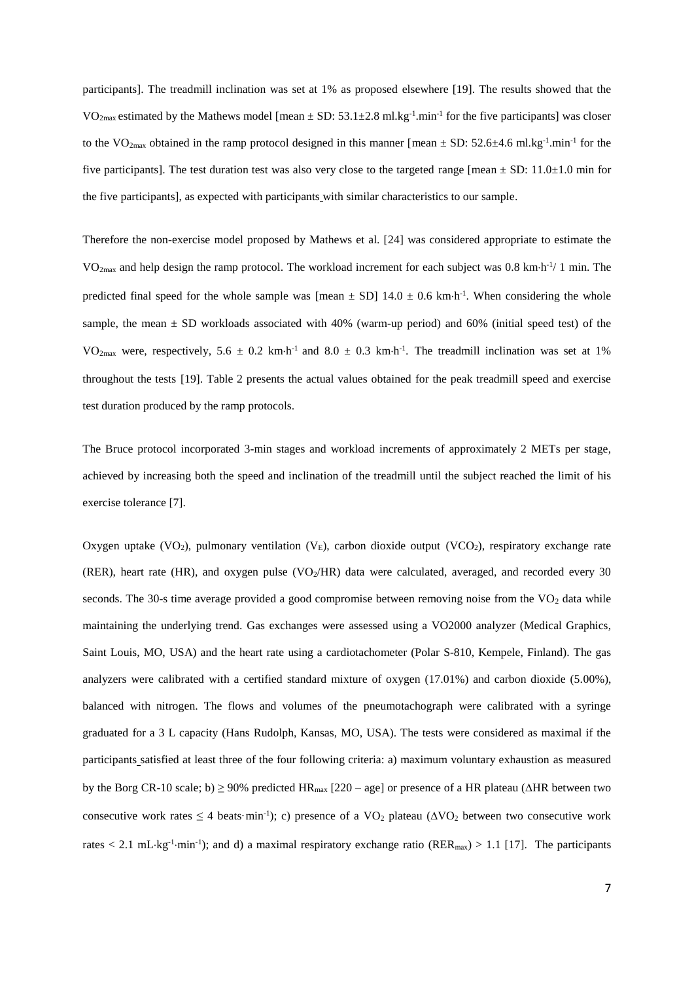participants]. The treadmill inclination was set at 1% as proposed elsewhere [19]. The results showed that the  $VO<sub>2max</sub>$  estimated by the Mathews model [mean  $\pm$  SD: 53.1 $\pm$ 2.8 ml.kg<sup>-1</sup>.min<sup>-1</sup> for the five participants] was closer to the VO<sub>2max</sub> obtained in the ramp protocol designed in this manner [mean  $\pm$  SD: 52.6 $\pm$ 4.6 ml.kg<sup>-1</sup>.min<sup>-1</sup> for the five participants]. The test duration test was also very close to the targeted range  $[mean \pm SD: 11.0 \pm 1.0$  min for the five participants], as expected with participants with similar characteristics to our sample.

Therefore the non-exercise model proposed by Mathews et al. [24] was considered appropriate to estimate the  $VO<sub>2max</sub>$  and help design the ramp protocol. The workload increment for each subject was 0.8 km·h<sup>-1</sup>/ 1 min. The predicted final speed for the whole sample was [mean  $\pm$  SD] 14.0  $\pm$  0.6 km·h<sup>-1</sup>. When considering the whole sample, the mean  $\pm$  SD workloads associated with 40% (warm-up period) and 60% (initial speed test) of the VO<sub>2max</sub> were, respectively, 5.6  $\pm$  0.2 km·h<sup>-1</sup> and 8.0  $\pm$  0.3 km·h<sup>-1</sup>. The treadmill inclination was set at 1% throughout the tests [19]. Table 2 presents the actual values obtained for the peak treadmill speed and exercise test duration produced by the ramp protocols.

The Bruce protocol incorporated 3-min stages and workload increments of approximately 2 METs per stage, achieved by increasing both the speed and inclination of the treadmill until the subject reached the limit of his exercise tolerance [7].

Oxygen uptake (VO<sub>2</sub>), pulmonary ventilation (V<sub>E</sub>), carbon dioxide output (VCO<sub>2</sub>), respiratory exchange rate (RER), heart rate (HR), and oxygen pulse (VO $_2$ /HR) data were calculated, averaged, and recorded every 30 seconds. The 30-s time average provided a good compromise between removing noise from the  $VO<sub>2</sub>$  data while maintaining the underlying trend. Gas exchanges were assessed using a VO2000 analyzer (Medical Graphics*,* Saint Louis, MO, USA) and the heart rate using a cardiotachometer (Polar S-810, Kempele, Finland). The gas analyzers were calibrated with a certified standard mixture of oxygen (17.01%) and carbon dioxide (5.00%), balanced with nitrogen. The flows and volumes of the pneumotachograph were calibrated with a syringe graduated for a 3 L capacity (Hans Rudolph, Kansas, MO, USA). The tests were considered as maximal if the participants satisfied at least three of the four following criteria: a) maximum voluntary exhaustion as measured by the Borg CR-10 scale; b)  $\geq$  90% predicted HR<sub>max</sub> [220 – age] or presence of a HR plateau ( $\triangle$ HR between two consecutive work rates  $\leq 4$  beats·min<sup>-1</sup>); c) presence of a VO<sub>2</sub> plateau ( $\Delta$ VO<sub>2</sub> between two consecutive work rates  $< 2.1$  mL·kg<sup>-1</sup>·min<sup>-1</sup>); and d) a maximal respiratory exchange ratio (RER<sub>max</sub>) > 1.1 [17]. The participants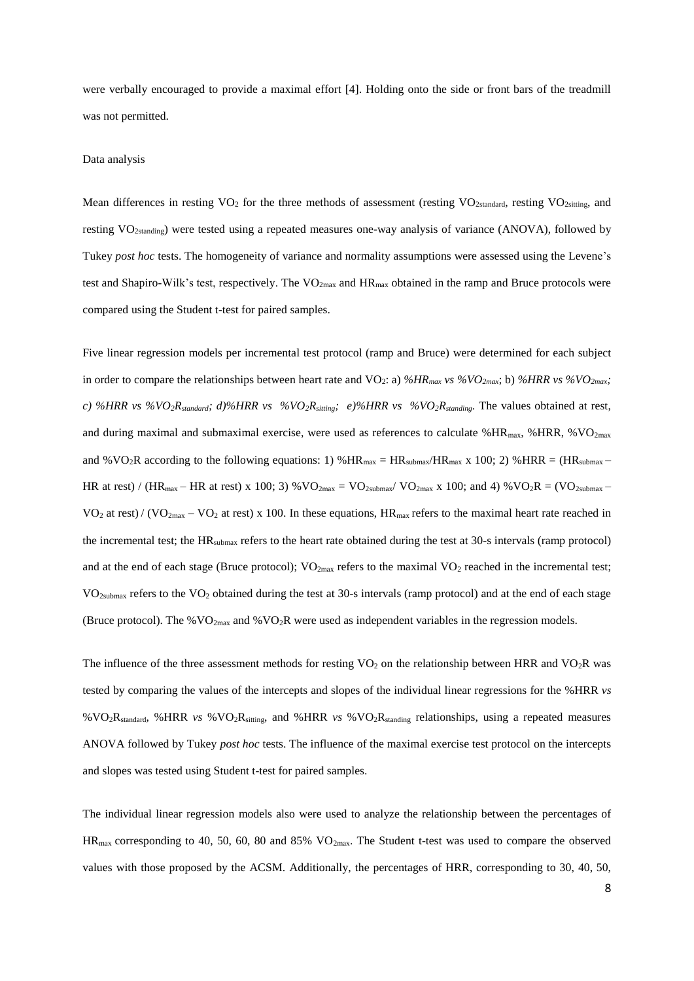were verbally encouraged to provide a maximal effort [4]. Holding onto the side or front bars of the treadmill was not permitted.

#### Data analysis

Mean differences in resting  $VO<sub>2</sub>$  for the three methods of assessment (resting  $VO<sub>2</sub>$ <sub>standard</sub>, resting  $VO<sub>2</sub>$ <sub>sting</sub>, and resting VO2standing) were tested using a repeated measures one-way analysis of variance (ANOVA), followed by Tukey *post hoc* tests. The homogeneity of variance and normality assumptions were assessed using the Levene's test and Shapiro-Wilk's test, respectively. The  $VO_{2max}$  and  $HR_{max}$  obtained in the ramp and Bruce protocols were compared using the Student t-test for paired samples.

Five linear regression models per incremental test protocol (ramp and Bruce) were determined for each subject in order to compare the relationships between heart rate and VO2: a) *%HRmax vs %VO2max*; b) *%HRR vs %VO2max; c) %HRR vs %VO2Rstandard; d)%HRR vs %VO2Rsitting; e)%HRR vs %VO2Rstanding*. The values obtained at rest, and during maximal and submaximal exercise, were used as references to calculate %HR<sub>max</sub>, %HRR, %VO<sub>2max</sub> and %VO<sub>2</sub>R according to the following equations: 1) %HR<sub>max</sub> = HR<sub>submax</sub>/HR<sub>max</sub> x 100; 2) %HRR = (HR<sub>submax</sub> – HR at rest) / (HR<sub>max</sub> – HR at rest) x 100; 3) % $VO_{2max} = VO_{2submax} / VO_{2max}$  x 100; and 4) % $VO_{2}R = (VO_{2submax} -)$  $VO<sub>2</sub>$  at rest) / ( $VO<sub>2max</sub> - VO<sub>2</sub>$  at rest) x 100. In these equations,  $HR<sub>max</sub>$  refers to the maximal heart rate reached in the incremental test; the HRsubmax refers to the heart rate obtained during the test at 30-s intervals (ramp protocol) and at the end of each stage (Bruce protocol); VO<sub>2max</sub> refers to the maximal VO<sub>2</sub> reached in the incremental test;  $VO<sub>2submax</sub>$  refers to the  $VO<sub>2</sub>$  obtained during the test at 30-s intervals (ramp protocol) and at the end of each stage (Bruce protocol). The % $VO_{2max}$  and % $VO_2R$  were used as independent variables in the regression models.

The influence of the three assessment methods for resting  $VO<sub>2</sub>$  on the relationship between HRR and  $VO<sub>2</sub>R$  was tested by comparing the values of the intercepts and slopes of the individual linear regressions for the %HRR *vs* % VO<sub>2</sub>R<sub>standard</sub>, %HRR *vs* % VO<sub>2</sub>R<sub>stiting</sub>, and %HRR *vs* % VO<sub>2</sub>R<sub>standing</sub> relationships, using a repeated measures ANOVA followed by Tukey *post hoc* tests. The influence of the maximal exercise test protocol on the intercepts and slopes was tested using Student t-test for paired samples.

The individual linear regression models also were used to analyze the relationship between the percentages of HRmax corresponding to 40, 50, 60, 80 and 85% VO2max. The Student t-test was used to compare the observed values with those proposed by the ACSM. Additionally, the percentages of HRR, corresponding to 30, 40, 50,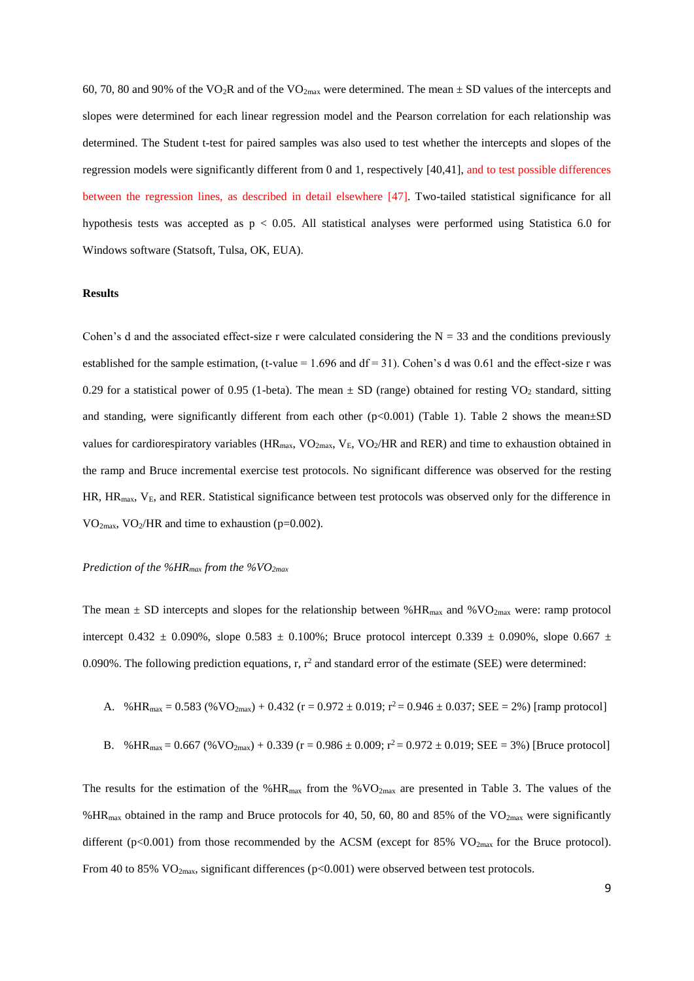60, 70, 80 and 90% of the VO<sub>2</sub>R and of the VO<sub>2max</sub> were determined. The mean  $\pm$  SD values of the intercepts and slopes were determined for each linear regression model and the Pearson correlation for each relationship was determined. The Student t-test for paired samples was also used to test whether the intercepts and slopes of the regression models were significantly different from 0 and 1, respectively [40,41], and to test possible differences between the regression lines, as described in detail elsewhere [47]. Two-tailed statistical significance for all hypothesis tests was accepted as p < 0.05. All statistical analyses were performed using Statistica 6.0 for Windows software (Statsoft, Tulsa, OK, EUA).

#### **Results**

Cohen's d and the associated effect-size r were calculated considering the  $N = 33$  and the conditions previously established for the sample estimation, (t-value = 1.696 and  $df = 31$ ). Cohen's d was 0.61 and the effect-size r was 0.29 for a statistical power of 0.95 (1-beta). The mean  $\pm$  SD (range) obtained for resting VO<sub>2</sub> standard, sitting and standing, were significantly different from each other  $(p<0.001)$  (Table 1). Table 2 shows the mean $\pm SD$ values for cardiorespiratory variables ( $HR_{max}$ ,  $VO_{2max}$ ,  $V_E$ ,  $VO_2/HR$  and RER) and time to exhaustion obtained in the ramp and Bruce incremental exercise test protocols. No significant difference was observed for the resting  $HR$ ,  $HR_{max}$ ,  $V_{E}$ , and RER. Statistical significance between test protocols was observed only for the difference in  $VO<sub>2max</sub>, VO<sub>2</sub>/HR$  and time to exhaustion (p=0.002).

#### *Prediction of the %HRmax from the %VO2max*

The mean  $\pm$  SD intercepts and slopes for the relationship between %HR<sub>max</sub> and %VO<sub>2max</sub> were: ramp protocol intercept 0.432  $\pm$  0.090%, slope 0.583  $\pm$  0.100%; Bruce protocol intercept 0.339  $\pm$  0.090%, slope 0.667  $\pm$ 0.090%. The following prediction equations, r,  $r^2$  and standard error of the estimate (SEE) were determined:

A. 
$$
%HR_{max} = 0.583 \, (\%VO_{2max}) + 0.432 \, (r = 0.972 \pm 0.019; r^2 = 0.946 \pm 0.037; SEE = 2%)
$$
 [ramp protocol]

B. 
$$
%HR_{max} = 0.667
$$
 ( $%VO_{2max}$ ) + 0.339 (r = 0.986 ± 0.009; r<sup>2</sup> = 0.972 ± 0.019; SEE = 3%) [Bruce protocol]

The results for the estimation of the %HR<sub>max</sub> from the %VO<sub>2max</sub> are presented in Table 3. The values of the %HR<sub>max</sub> obtained in the ramp and Bruce protocols for 40, 50, 60, 80 and 85% of the  $VO_{2max}$  were significantly different (p<0.001) from those recommended by the ACSM (except for 85% VO<sub>2max</sub> for the Bruce protocol). From 40 to 85%  $VO_{2max}$ , significant differences (p<0.001) were observed between test protocols.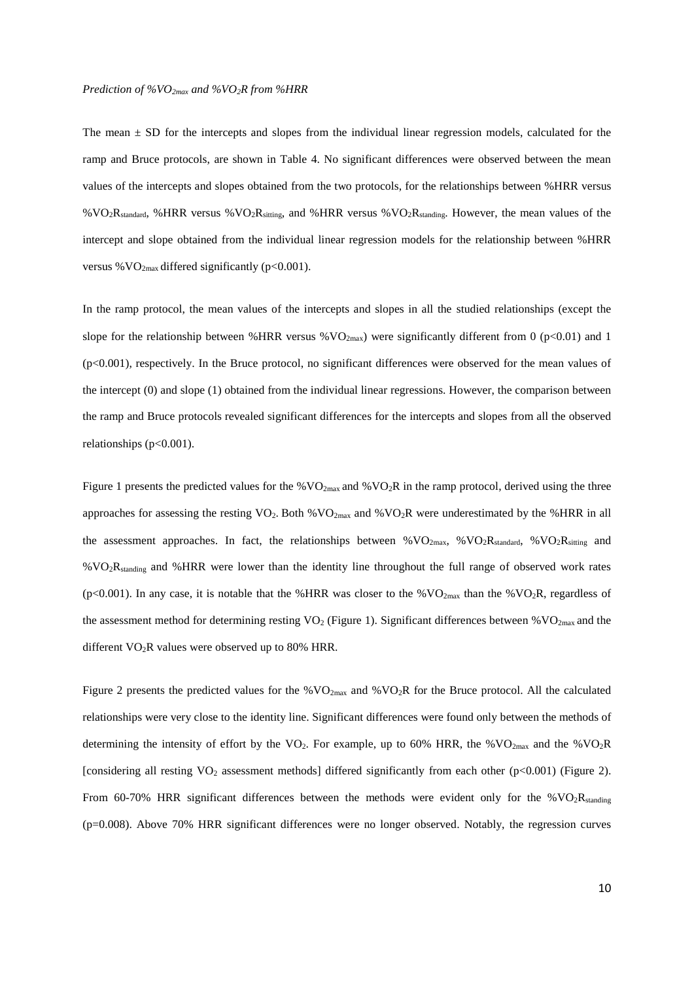The mean  $\pm$  SD for the intercepts and slopes from the individual linear regression models, calculated for the ramp and Bruce protocols, are shown in Table 4. No significant differences were observed between the mean values of the intercepts and slopes obtained from the two protocols, for the relationships between %HRR versus %VO2Rstandard, %HRR versus %VO2Rsitting, and %HRR versus %VO2Rstanding. However, the mean values of the intercept and slope obtained from the individual linear regression models for the relationship between %HRR versus % $VO<sub>2max</sub>$  differed significantly (p<0.001).

In the ramp protocol, the mean values of the intercepts and slopes in all the studied relationships (except the slope for the relationship between %HRR versus %VO<sub>2max</sub>) were significantly different from 0 (p<0.01) and 1 (p<0.001), respectively. In the Bruce protocol, no significant differences were observed for the mean values of the intercept (0) and slope (1) obtained from the individual linear regressions. However, the comparison between the ramp and Bruce protocols revealed significant differences for the intercepts and slopes from all the observed relationships  $(p<0.001)$ .

Figure 1 presents the predicted values for the  $\%VO_{2max}$  and  $\%VO_{2}R$  in the ramp protocol, derived using the three approaches for assessing the resting  $VO_2$ . Both % $VO_2$ <sub>max</sub> and % $VO_2R$  were underestimated by the %HRR in all the assessment approaches. In fact, the relationships between %VO<sub>2max</sub>, %VO<sub>2</sub>R<sub>standard</sub>, %VO<sub>2</sub>R<sub>sitting</sub> and %VO2Rstanding and %HRR were lower than the identity line throughout the full range of observed work rates (p<0.001). In any case, it is notable that the %HRR was closer to the %VO<sub>2max</sub> than the %VO<sub>2</sub>R, regardless of the assessment method for determining resting  $VO<sub>2</sub>$  (Figure 1). Significant differences between %VO<sub>2max</sub> and the different  $VO<sub>2</sub>R$  values were observed up to 80% HRR.

Figure 2 presents the predicted values for the %VO2max and %VO2R for the Bruce protocol. All the calculated relationships were very close to the identity line. Significant differences were found only between the methods of determining the intensity of effort by the VO<sub>2</sub>. For example, up to 60% HRR, the %VO<sub>2max</sub> and the %VO<sub>2</sub>R [considering all resting VO<sup>2</sup> assessment methods] differed significantly from each other (p<0.001) (Figure 2). From 60-70% HRR significant differences between the methods were evident only for the %VO<sub>2</sub>R<sub>standing</sub> (p=0.008). Above 70% HRR significant differences were no longer observed. Notably, the regression curves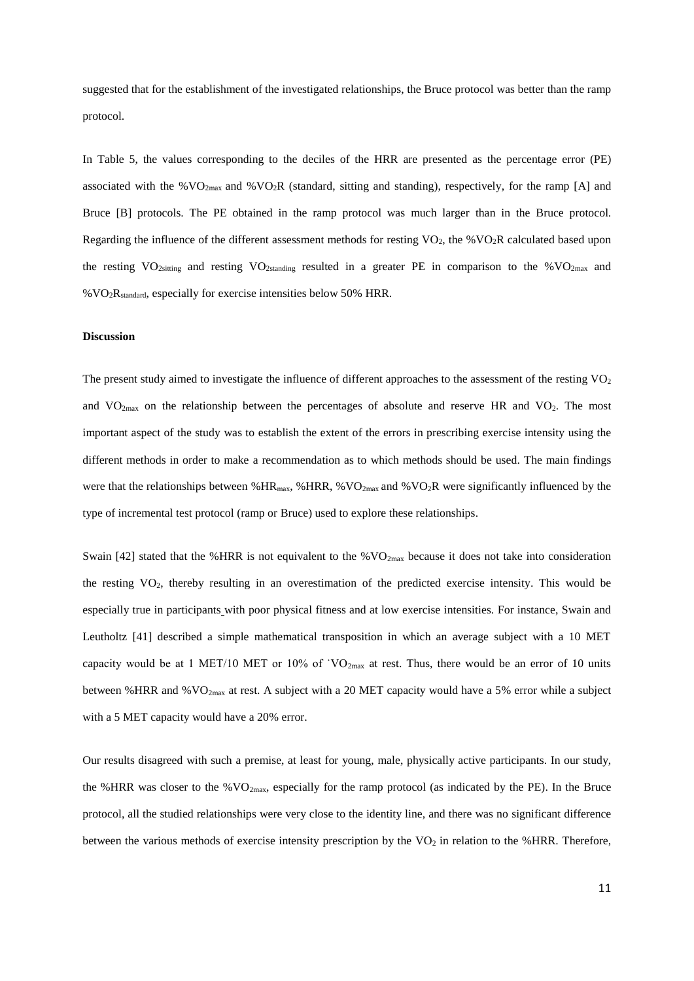suggested that for the establishment of the investigated relationships, the Bruce protocol was better than the ramp protocol.

In Table 5, the values corresponding to the deciles of the HRR are presented as the percentage error (PE) associated with the % $VO<sub>2max</sub>$  and % $VO<sub>2</sub>R$  (standard, sitting and standing), respectively, for the ramp [A] and Bruce [B] protocols. The PE obtained in the ramp protocol was much larger than in the Bruce protocol. Regarding the influence of the different assessment methods for resting  $VO_2$ , the % $VO_2R$  calculated based upon the resting VO<sub>2sitting</sub> and resting VO<sub>2standing</sub> resulted in a greater PE in comparison to the %VO<sub>2max</sub> and %VO2Rstandard, especially for exercise intensities below 50% HRR.

## **Discussion**

The present study aimed to investigate the influence of different approaches to the assessment of the resting  $VO<sub>2</sub>$ and  $VO<sub>2max</sub>$  on the relationship between the percentages of absolute and reserve HR and VO<sub>2</sub>. The most important aspect of the study was to establish the extent of the errors in prescribing exercise intensity using the different methods in order to make a recommendation as to which methods should be used. The main findings were that the relationships between %HR<sub>max</sub>, %HRR, %VO<sub>2max</sub> and %VO<sub>2</sub>R were significantly influenced by the type of incremental test protocol (ramp or Bruce) used to explore these relationships.

Swain [42] stated that the %HRR is not equivalent to the % $VO<sub>2max</sub>$  because it does not take into consideration the resting VO2, thereby resulting in an overestimation of the predicted exercise intensity. This would be especially true in participants with poor physical fitness and at low exercise intensities. For instance, Swain and Leutholtz [41] described a simple mathematical transposition in which an average subject with a 10 MET capacity would be at 1 MET/10 MET or 10% of `VO<sub>2max</sub> at rest. Thus, there would be an error of 10 units between %HRR and %VO<sub>2max</sub> at rest. A subject with a 20 MET capacity would have a 5% error while a subject with a 5 MET capacity would have a 20% error.

Our results disagreed with such a premise, at least for young, male, physically active participants. In our study, the %HRR was closer to the % $VO<sub>2max</sub>$ , especially for the ramp protocol (as indicated by the PE). In the Bruce protocol, all the studied relationships were very close to the identity line, and there was no significant difference between the various methods of exercise intensity prescription by the  $VO<sub>2</sub>$  in relation to the %HRR. Therefore,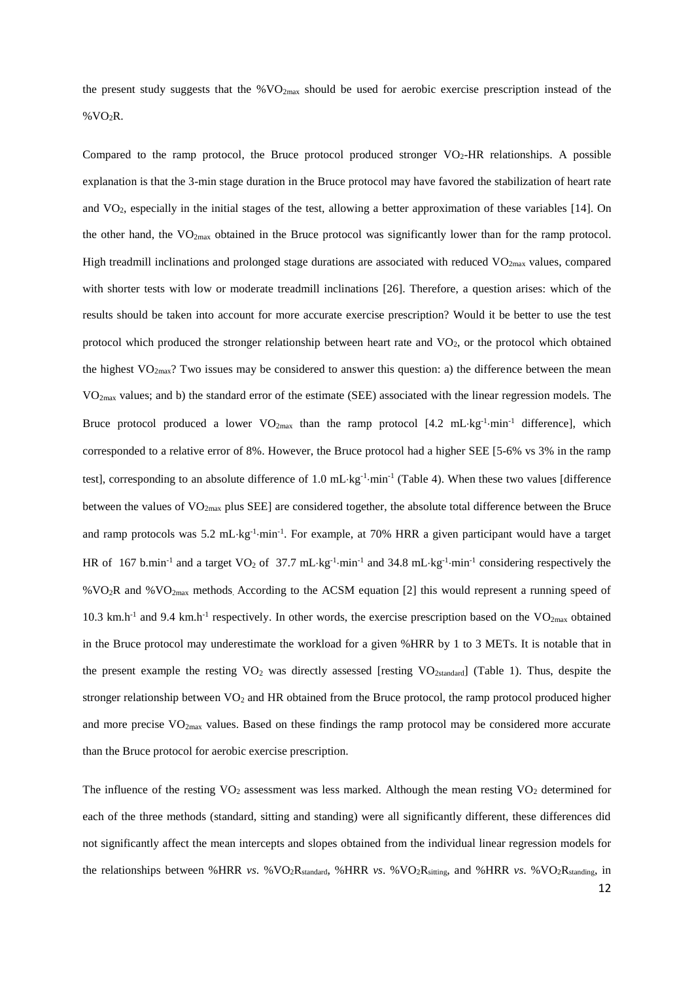the present study suggests that the %VO2max should be used for aerobic exercise prescription instead of the %VO2R.

Compared to the ramp protocol, the Bruce protocol produced stronger  $VO<sub>2</sub>-HR$  relationships. A possible explanation is that the 3-min stage duration in the Bruce protocol may have favored the stabilization of heart rate and VO2, especially in the initial stages of the test, allowing a better approximation of these variables [14]. On the other hand, the VO2max obtained in the Bruce protocol was significantly lower than for the ramp protocol. High treadmill inclinations and prolonged stage durations are associated with reduced  $VO<sub>2max</sub>$  values, compared with shorter tests with low or moderate treadmill inclinations [26]. Therefore, a question arises: which of the results should be taken into account for more accurate exercise prescription? Would it be better to use the test protocol which produced the stronger relationship between heart rate and VO2, or the protocol which obtained the highest  $VO_{2max}$ ? Two issues may be considered to answer this question: a) the difference between the mean VO2max values; and b) the standard error of the estimate (SEE) associated with the linear regression models. The Bruce protocol produced a lower  $VO_{2max}$  than the ramp protocol  $[4.2 \text{ mL} \cdot \text{kg}^{-1} \cdot \text{min}^{-1}]$  difference], which corresponded to a relative error of 8%. However, the Bruce protocol had a higher SEE [5-6% vs 3% in the ramp test], corresponding to an absolute difference of 1.0 mL·kg<sup>-1</sup>·min<sup>-1</sup> (Table 4). When these two values [difference between the values of VO2max plus SEE] are considered together, the absolute total difference between the Bruce and ramp protocols was 5.2 mL·kg<sup>-1</sup>·min<sup>-1</sup>. For example, at 70% HRR a given participant would have a target HR of 167 b.min<sup>-1</sup> and a target VO<sub>2</sub> of 37.7 mL·kg<sup>-1</sup>·min<sup>-1</sup> and 34.8 mL·kg<sup>-1</sup>·min<sup>-1</sup> considering respectively the %VO2R and %VO2max methods. According to the ACSM equation [2] this would represent a running speed of 10.3 km.h<sup>-1</sup> and 9.4 km.h<sup>-1</sup> respectively. In other words, the exercise prescription based on the VO<sub>2max</sub> obtained in the Bruce protocol may underestimate the workload for a given %HRR by 1 to 3 METs. It is notable that in the present example the resting VO<sup>2</sup> was directly assessed [resting VO2standard] (Table 1). Thus, despite the stronger relationship between  $VO<sub>2</sub>$  and HR obtained from the Bruce protocol, the ramp protocol produced higher and more precise  $VO_{2max}$  values. Based on these findings the ramp protocol may be considered more accurate than the Bruce protocol for aerobic exercise prescription.

The influence of the resting  $VO<sub>2</sub>$  assessment was less marked. Although the mean resting  $VO<sub>2</sub>$  determined for each of the three methods (standard, sitting and standing) were all significantly different, these differences did not significantly affect the mean intercepts and slopes obtained from the individual linear regression models for the relationships between %HRR *vs*. %VO<sub>2</sub>R<sub>standard</sub>, %HRR *vs*. %VO<sub>2</sub>R<sub>stitting</sub>, and %HRR *vs*. %VO<sub>2</sub>R<sub>standing</sub>, in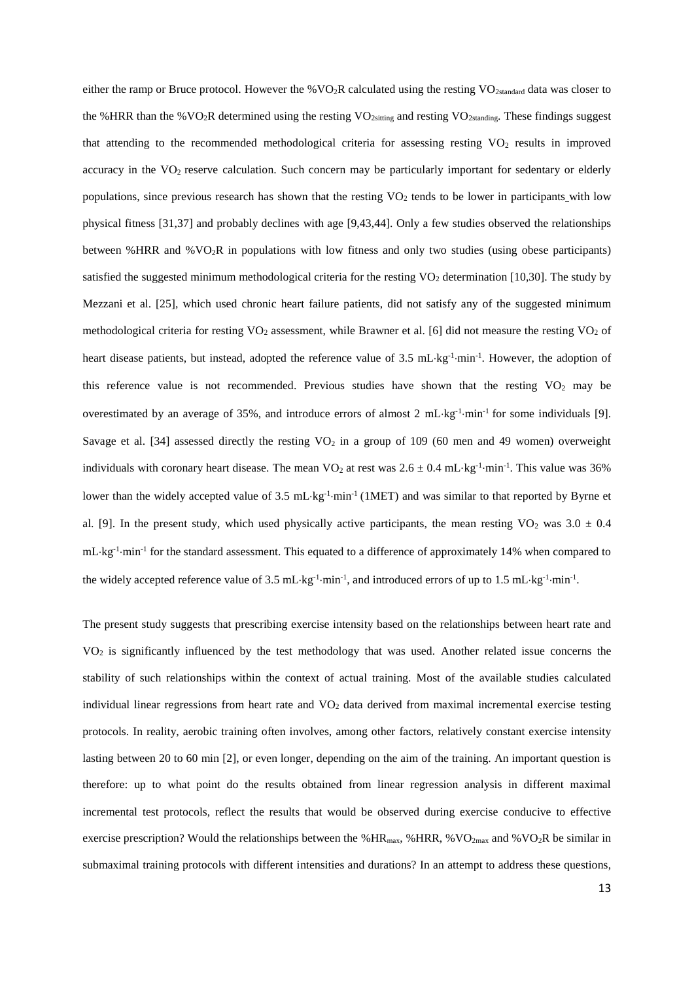either the ramp or Bruce protocol. However the %VO<sub>2</sub>R calculated using the resting VO<sub>2standard</sub> data was closer to the %HRR than the %VO<sub>2</sub>R determined using the resting VO<sub>2sitting</sub> and resting VO<sub>2standing</sub>. These findings suggest that attending to the recommended methodological criteria for assessing resting  $VO<sub>2</sub>$  results in improved accuracy in the VO<sub>2</sub> reserve calculation. Such concern may be particularly important for sedentary or elderly populations, since previous research has shown that the resting  $VO<sub>2</sub>$  tends to be lower in participants with low physical fitness [31,37] and probably declines with age [9,43,44]. Only a few studies observed the relationships between %HRR and %VO2R in populations with low fitness and only two studies (using obese participants) satisfied the suggested minimum methodological criteria for the resting  $VO<sub>2</sub>$  determination [10,30]. The study by Mezzani et al. [25], which used chronic heart failure patients, did not satisfy any of the suggested minimum methodological criteria for resting  $VO<sub>2</sub>$  assessment, while Brawner et al. [6] did not measure the resting  $VO<sub>2</sub>$  of heart disease patients, but instead, adopted the reference value of 3.5 mL·kg<sup>-1</sup>·min<sup>-1</sup>. However, the adoption of this reference value is not recommended. Previous studies have shown that the resting  $VO<sub>2</sub>$  may be overestimated by an average of 35%, and introduce errors of almost  $2 \text{ mL/kg}^{-1} \cdot \text{min}^{-1}$  for some individuals [9]. Savage et al. [34] assessed directly the resting  $VO<sub>2</sub>$  in a group of 109 (60 men and 49 women) overweight individuals with coronary heart disease. The mean  $VO_2$  at rest was  $2.6 \pm 0.4$  mL⋅kg<sup>-1</sup>⋅min<sup>-1</sup>. This value was 36% lower than the widely accepted value of 3.5 mL·kg<sup>-1</sup>·min<sup>-1</sup> (1MET) and was similar to that reported by Byrne et al. [9]. In the present study, which used physically active participants, the mean resting VO<sub>2</sub> was  $3.0 \pm 0.4$ mL·kg<sup>-1</sup>·min<sup>-1</sup> for the standard assessment. This equated to a difference of approximately 14% when compared to the widely accepted reference value of 3.5 mL·kg<sup>-1</sup>·min<sup>-1</sup>, and introduced errors of up to 1.5 mL·kg<sup>-1</sup>·min<sup>-1</sup>.

The present study suggests that prescribing exercise intensity based on the relationships between heart rate and VO<sup>2</sup> is significantly influenced by the test methodology that was used. Another related issue concerns the stability of such relationships within the context of actual training. Most of the available studies calculated individual linear regressions from heart rate and  $VO<sub>2</sub>$  data derived from maximal incremental exercise testing protocols. In reality, aerobic training often involves, among other factors, relatively constant exercise intensity lasting between 20 to 60 min [2], or even longer, depending on the aim of the training. An important question is therefore: up to what point do the results obtained from linear regression analysis in different maximal incremental test protocols, reflect the results that would be observed during exercise conducive to effective exercise prescription? Would the relationships between the %HR<sub>max</sub>, %HRR, %VO<sub>2max</sub> and %VO<sub>2</sub>R be similar in submaximal training protocols with different intensities and durations? In an attempt to address these questions,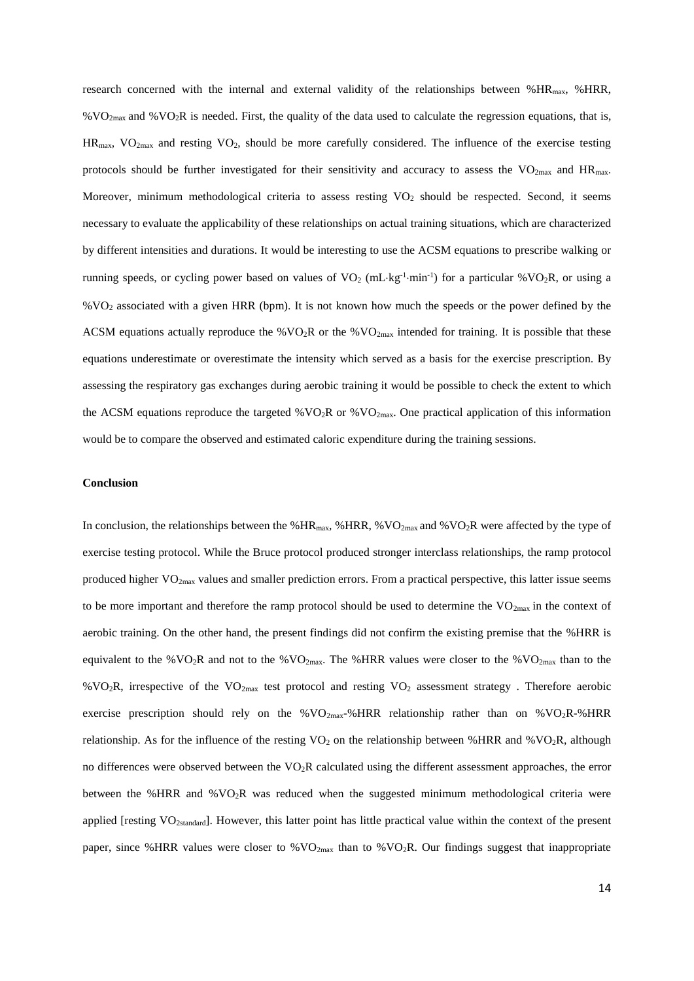research concerned with the internal and external validity of the relationships between %HRmax, %HRR,  $\%VO_{2max}$  and  $\%VO_{2}R$  is needed. First, the quality of the data used to calculate the regression equations, that is,  $HR_{max}$ ,  $VO_{2max}$  and resting  $VO_2$ , should be more carefully considered. The influence of the exercise testing protocols should be further investigated for their sensitivity and accuracy to assess the  $VO_{2max}$  and  $HR_{max}$ . Moreover, minimum methodological criteria to assess resting VO<sub>2</sub> should be respected. Second, it seems necessary to evaluate the applicability of these relationships on actual training situations, which are characterized by different intensities and durations. It would be interesting to use the ACSM equations to prescribe walking or running speeds, or cycling power based on values of  $VO_2$  (mL·kg<sup>-1</sup>·min<sup>-1</sup>) for a particular % $VO_2R$ , or using a %VO<sup>2</sup> associated with a given HRR (bpm). It is not known how much the speeds or the power defined by the ACSM equations actually reproduce the %VO<sub>2</sub>R or the %VO<sub>2max</sub> intended for training. It is possible that these equations underestimate or overestimate the intensity which served as a basis for the exercise prescription. By assessing the respiratory gas exchanges during aerobic training it would be possible to check the extent to which the ACSM equations reproduce the targeted  $\%$ VO<sub>2</sub>R or  $\%$ VO<sub>2max</sub>. One practical application of this information would be to compare the observed and estimated caloric expenditure during the training sessions.

#### **Conclusion**

In conclusion, the relationships between the %HR<sub>max</sub>, %HRR, %VO<sub>2max</sub> and %VO<sub>2</sub>R were affected by the type of exercise testing protocol. While the Bruce protocol produced stronger interclass relationships, the ramp protocol produced higher VO<sub>2max</sub> values and smaller prediction errors. From a practical perspective, this latter issue seems to be more important and therefore the ramp protocol should be used to determine the  $VO_{2max}$  in the context of aerobic training. On the other hand, the present findings did not confirm the existing premise that the %HRR is equivalent to the %VO<sub>2</sub>R and not to the %VO<sub>2max</sub>. The %HRR values were closer to the %VO<sub>2max</sub> than to the %VO<sub>2</sub>R, irrespective of the VO<sub>2max</sub> test protocol and resting VO<sub>2</sub> assessment strategy. Therefore aerobic exercise prescription should rely on the % $VO_{2max}$ -%HRR relationship rather than on % $VO_2R$ -%HRR relationship. As for the influence of the resting  $VO_2$  on the relationship between %HRR and % $VO_2R$ , although no differences were observed between the  $VO<sub>2</sub>R$  calculated using the different assessment approaches, the error between the %HRR and %VO2R was reduced when the suggested minimum methodological criteria were applied [resting VO2standard]. However, this latter point has little practical value within the context of the present paper, since %HRR values were closer to %VO2max than to %VO2R. Our findings suggest that inappropriate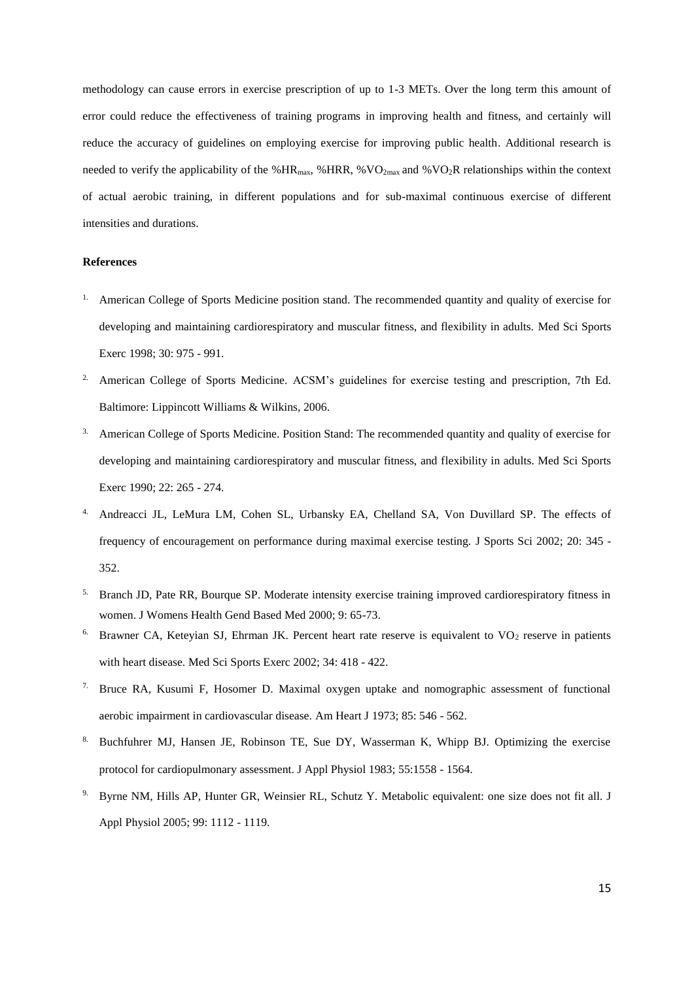methodology can cause errors in exercise prescription of up to 1-3 METs. Over the long term this amount of error could reduce the effectiveness of training programs in improving health and fitness, and certainly will reduce the accuracy of guidelines on employing exercise for improving public health. Additional research is needed to verify the applicability of the %HR<sub>max</sub>, %HRR, %VO<sub>2max</sub> and %VO<sub>2</sub>R relationships within the context of actual aerobic training, in different populations and for sub-maximal continuous exercise of different intensities and durations.

# **References**

- 1. American College of Sports Medicine position stand. The recommended quantity and quality of exercise for developing and maintaining cardiorespiratory and muscular fitness, and flexibility in adults. Med Sci Sports Exerc 1998; 30: 975 - 991.
- <sup>2.</sup> American College of Sports Medicine. ACSM's guidelines for exercise testing and prescription, 7th Ed. Baltimore: Lippincott Williams & Wilkins, 2006.
- <sup>3.</sup> American College of Sports Medicine. Position Stand: The recommended quantity and quality of exercise for developing and maintaining cardiorespiratory and muscular fitness, and flexibility in adults. Med Sci Sports Exerc 1990; 22: 265 - 274.
- 4. Andreacci JL, LeMura LM, Cohen SL, Urbansky EA, Chelland SA, Von Duvillard SP. The effects of frequency of encouragement on performance during maximal exercise testing. J Sports Sci 2002; 20: 345 - 352.
- <sup>5.</sup> Branch JD, Pate RR, Bourque SP. Moderate intensity exercise training improved cardiorespiratory fitness in women. J Womens Health Gend Based Med 2000; 9: 65-73.
- Brawner CA, Keteyian SJ, Ehrman JK. Percent heart rate reserve is equivalent to VO<sub>2</sub> reserve in patients with heart disease. Med Sci Sports Exerc 2002; 34: 418 - 422.
- 7. Bruce RA, Kusumi F, Hosomer D. Maximal oxygen uptake and nomographic assessment of functional aerobic impairment in cardiovascular disease. Am Heart J 1973; 85: 546 - 562.
- 8. Buchfuhrer MJ, Hansen JE, Robinson TE, Sue DY, Wasserman K, Whipp BJ. Optimizing the exercise protocol for cardiopulmonary assessment. J Appl Physiol 1983; 55:1558 - 1564.
- 9. Byrne NM, Hills AP, Hunter GR, Weinsier RL, Schutz Y. Metabolic equivalent: one size does not fit all. J Appl Physiol 2005; 99: 1112 - 1119.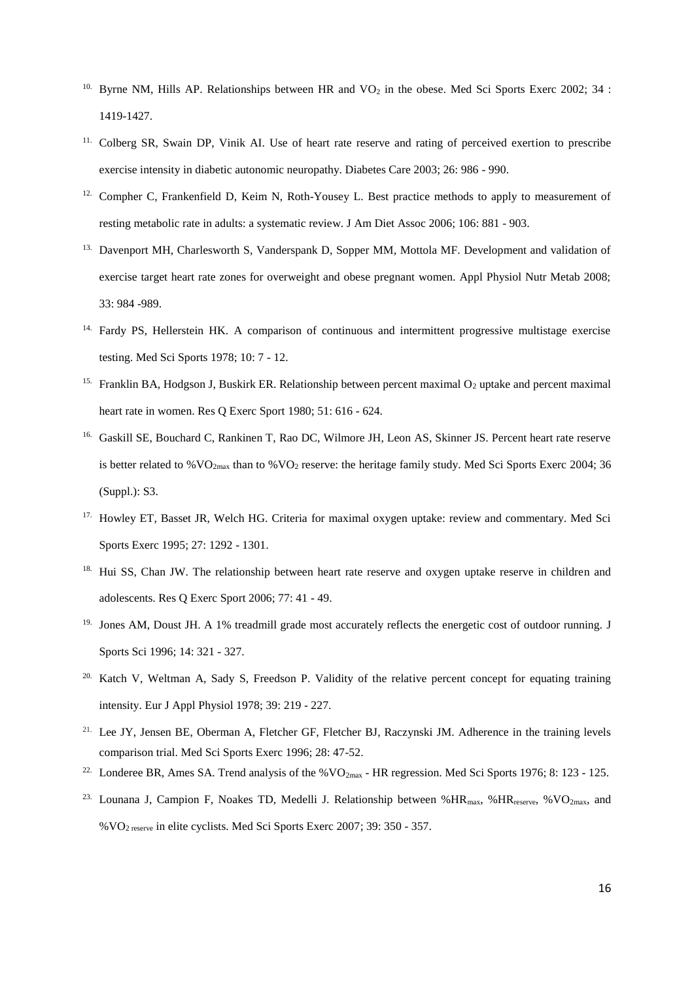- Byrne NM, Hills AP. Relationships between HR and VO<sub>2</sub> in the obese. Med Sci Sports Exerc 2002; 34 : 1419-1427.
- 11. Colberg SR, Swain DP, Vinik AI. Use of heart rate reserve and rating of perceived exertion to prescribe exercise intensity in diabetic autonomic neuropathy. Diabetes Care 2003; 26: 986 - 990.
- <sup>12.</sup> Compher C, Frankenfield D, Keim N, Roth-Yousey L. Best practice methods to apply to measurement of resting metabolic rate in adults: a systematic review. J Am Diet Assoc 2006; 106: 881 - 903.
- <sup>13.</sup> Davenport MH, Charlesworth S, Vanderspank D, Sopper MM, Mottola MF. Development and validation of exercise target heart rate zones for overweight and obese pregnant women. Appl Physiol Nutr Metab 2008; 33: 984 -989.
- <sup>14.</sup> Fardy PS, Hellerstein HK. A comparison of continuous and intermittent progressive multistage exercise testing. Med Sci Sports 1978; 10: 7 - 12.
- <sup>15.</sup> Franklin BA, Hodgson J, Buskirk ER. Relationship between percent maximal  $O_2$  uptake and percent maximal heart rate in women. Res Q Exerc Sport 1980; 51: 616 - 624.
- <sup>16.</sup> Gaskill SE, Bouchard C, Rankinen T, Rao DC, Wilmore JH, Leon AS, Skinner JS. Percent heart rate reserve is better related to  $\%VO_{2\text{max}}$  than to  $\%VO_2$  reserve: the heritage family study. Med Sci Sports Exerc 2004; 36 (Suppl.): S3.
- <sup>17.</sup> Howley ET, Basset JR, Welch HG. Criteria for maximal oxygen uptake: review and commentary. Med Sci Sports Exerc 1995; 27: 1292 - 1301.
- <sup>18.</sup> Hui SS, Chan JW. The relationship between heart rate reserve and oxygen uptake reserve in children and adolescents. Res Q Exerc Sport 2006; 77: 41 - 49.
- <sup>19.</sup> Jones AM, Doust JH. A 1% treadmill grade most accurately reflects the energetic cost of outdoor running. J Sports Sci 1996; 14: 321 - 327.
- <sup>20.</sup> Katch V, Weltman A, Sady S, Freedson P. Validity of the relative percent concept for equating training intensity. Eur J Appl Physiol 1978; 39: 219 - 227.
- <sup>21.</sup> Lee JY, Jensen BE, Oberman A, Fletcher GF, Fletcher BJ, Raczynski JM. Adherence in the training levels comparison trial. Med Sci Sports Exerc 1996; 28: 47-52.
- <sup>22.</sup> Londeree BR, Ames SA. Trend analysis of the %VO<sub>2max</sub> HR regression. Med Sci Sports 1976; 8: 123 125.
- <sup>23.</sup> Lounana J, Campion F, Noakes TD, Medelli J. Relationship between %HR<sub>max</sub>, %HR<sub>reserve</sub>, %VO<sub>2max</sub>, and %VO2 reserve in elite cyclists. Med Sci Sports Exerc 2007; 39: 350 - 357.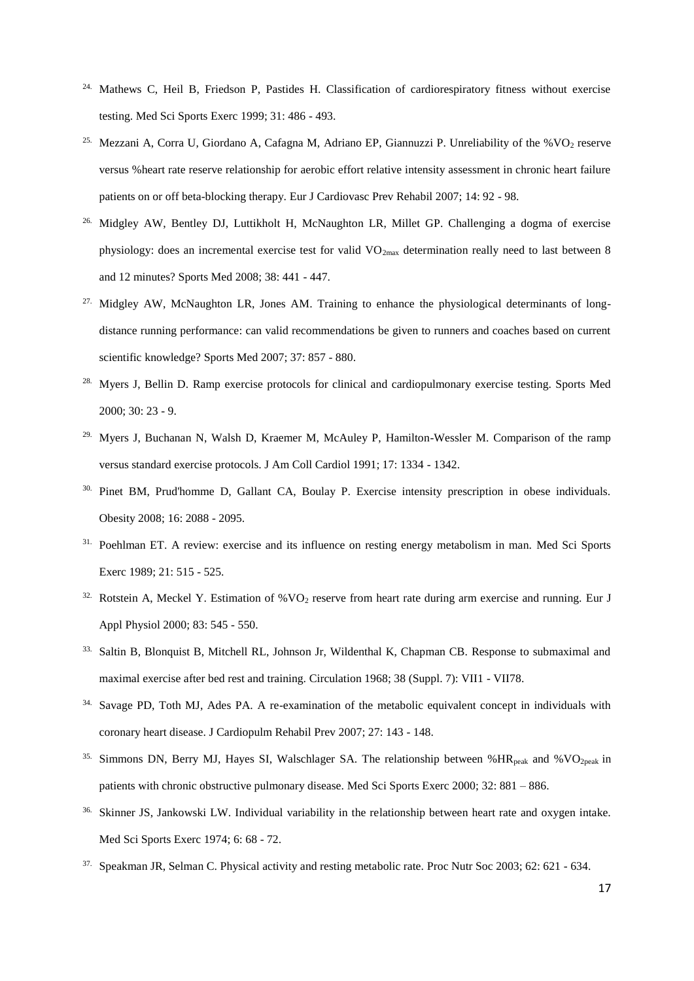- Mathews C, Heil B, Friedson P, Pastides H. Classification of cardiorespiratory fitness without exercise testing. Med Sci Sports Exerc 1999; 31: 486 - 493.
- Mezzani A, Corra U, Giordano A, Cafagna M, Adriano EP, Giannuzzi P. Unreliability of the %VO2 reserve versus %heart rate reserve relationship for aerobic effort relative intensity assessment in chronic heart failure patients on or off beta-blocking therapy. Eur J Cardiovasc Prev Rehabil 2007; 14: 92 - 98.
- 26. Midgley AW, Bentley DJ, Luttikholt H, McNaughton LR, Millet GP. Challenging a dogma of exercise physiology: does an incremental exercise test for valid  $VO_{2max}$  determination really need to last between 8 and 12 minutes? Sports Med 2008; 38: 441 - 447.
- <sup>27.</sup> Midgley AW, McNaughton LR, Jones AM. Training to enhance the physiological determinants of longdistance running performance: can valid recommendations be given to runners and coaches based on current scientific knowledge? Sports Med 2007; 37: 857 - 880.
- <sup>28.</sup> Myers J, Bellin D. Ramp exercise protocols for clinical and cardiopulmonary exercise testing. Sports Med 2000; 30: 23 - 9.
- <sup>29.</sup> Myers J, Buchanan N, Walsh D, Kraemer M, McAuley P, Hamilton-Wessler M. Comparison of the ramp versus standard exercise protocols. J Am Coll Cardiol 1991; 17: 1334 - 1342.
- 30. Pinet BM, Prud'homme D, Gallant CA, Boulay P. Exercise intensity prescription in obese individuals. Obesity 2008; 16: 2088 - 2095.
- <sup>31.</sup> Poehlman ET. A review: exercise and its influence on resting energy metabolism in man. Med Sci Sports Exerc 1989; 21: 515 - 525.
- <sup>32.</sup> Rotstein A, Meckel Y, Estimation of %VO<sub>2</sub> reserve from heart rate during arm exercise and running. Eur J Appl Physiol 2000; 83: 545 - 550.
- <sup>33.</sup> Saltin B, Blonquist B, Mitchell RL, Johnson Jr, Wildenthal K, Chapman CB. Response to submaximal and maximal exercise after bed rest and training. Circulation 1968; 38 (Suppl. 7): VII1 - VII78.
- <sup>34.</sup> Savage PD, Toth MJ, Ades PA. A re-examination of the metabolic equivalent concept in individuals with coronary heart disease. J Cardiopulm Rehabil Prev 2007; 27: 143 - 148.
- <sup>35.</sup> Simmons DN, Berry MJ, Hayes SI, Walschlager SA. The relationship between %HR<sub>peak</sub> and %VO<sub>2peak</sub> in patients with chronic obstructive pulmonary disease. Med Sci Sports Exerc 2000; 32: 881 – 886.
- 36. Skinner JS, Jankowski LW. Individual variability in the relationship between heart rate and oxygen intake. Med Sci Sports Exerc 1974; 6: 68 - 72.
- 37. Speakman JR, Selman C. Physical activity and resting metabolic rate. Proc Nutr Soc 2003; 62: 621 634.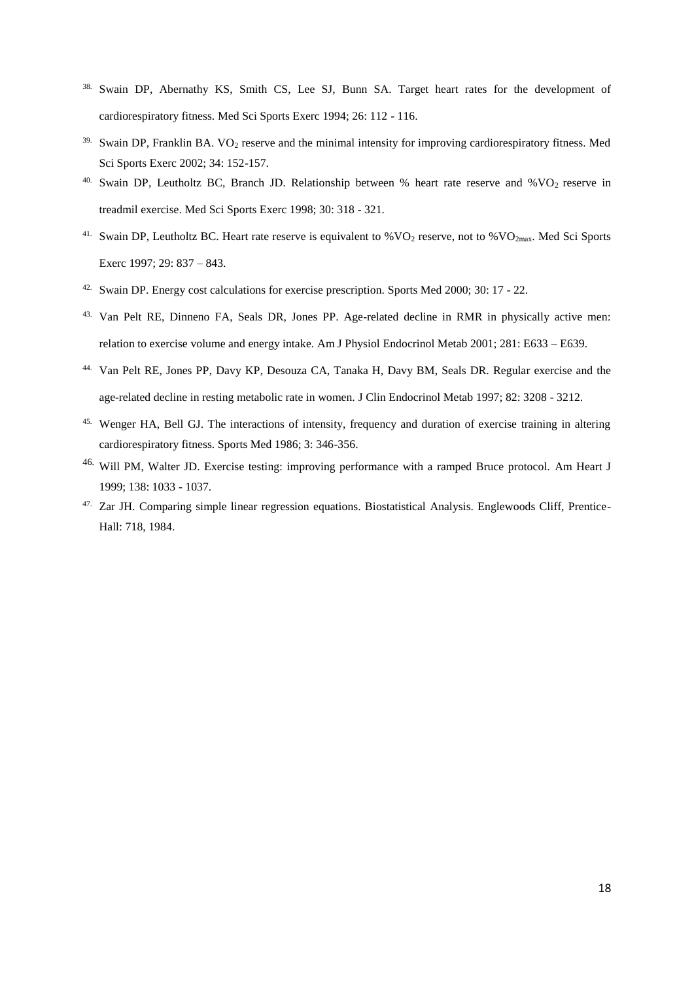- <sup>38.</sup> Swain DP, Abernathy KS, Smith CS, Lee SJ, Bunn SA. Target heart rates for the development of cardiorespiratory fitness. Med Sci Sports Exerc 1994; 26: 112 - 116.
- <sup>39.</sup> Swain DP, Franklin BA. VO<sub>2</sub> reserve and the minimal intensity for improving cardiorespiratory fitness. Med Sci Sports Exerc 2002; 34: 152-157.
- <sup>40.</sup> Swain DP, Leutholtz BC, Branch JD. Relationship between % heart rate reserve and %VO<sub>2</sub> reserve in treadmil exercise. Med Sci Sports Exerc 1998; 30: 318 - 321.
- <sup>41.</sup> Swain DP, Leutholtz BC. Heart rate reserve is equivalent to  $\%$  VO<sub>2</sub> reserve, not to  $\%$  VO<sub>2max</sub>. Med Sci Sports Exerc 1997; 29: 837 – 843.
- 42. Swain DP. Energy cost calculations for exercise prescription. Sports Med 2000; 30: 17 22.
- 43. Van Pelt RE, Dinneno FA, Seals DR, Jones PP. Age-related decline in RMR in physically active men: relation to exercise volume and energy intake. Am J Physiol Endocrinol Metab 2001; 281: E633 – E639.
- 44. Van Pelt RE, Jones PP, Davy KP, Desouza CA, Tanaka H, Davy BM, Seals DR. Regular exercise and the age-related decline in resting metabolic rate in women. J Clin Endocrinol Metab 1997; 82: 3208 - 3212.
- 45. Wenger HA, Bell GJ. The interactions of intensity, frequency and duration of exercise training in altering cardiorespiratory fitness. Sports Med 1986; 3: 346-356.
- <sup>46.</sup> Will PM, Walter JD. Exercise testing: improving performance with a ramped Bruce protocol. Am Heart J 1999; 138: 1033 - 1037.
- 47. Zar JH. Comparing simple linear regression equations. Biostatistical Analysis. Englewoods Cliff, Prentice-Hall: 718, 1984.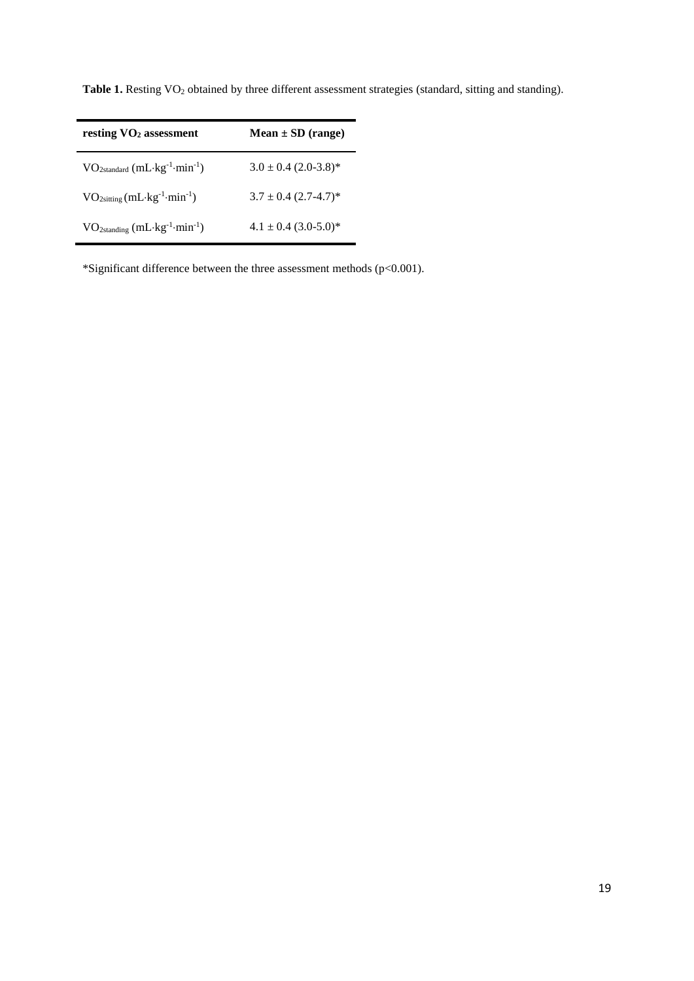| resting $VO2$ assessment                         | $Mean \pm SD$ (range)    |
|--------------------------------------------------|--------------------------|
| $VO2standard (mL·kg-1·min-1)$                    | $3.0 \pm 0.4$ (2.0-3.8)* |
| $VO_{2sitting}(mL \cdot kg^{-1} \cdot min^{-1})$ | $3.7 \pm 0.4$ (2.7-4.7)* |
| $VO_{2standing} (mL·kg^{-1}·min^{-1})$           | $4.1 \pm 0.4$ (3.0-5.0)* |

Table 1. Resting VO<sub>2</sub> obtained by three different assessment strategies (standard, sitting and standing).

\*Significant difference between the three assessment methods (p<0.001).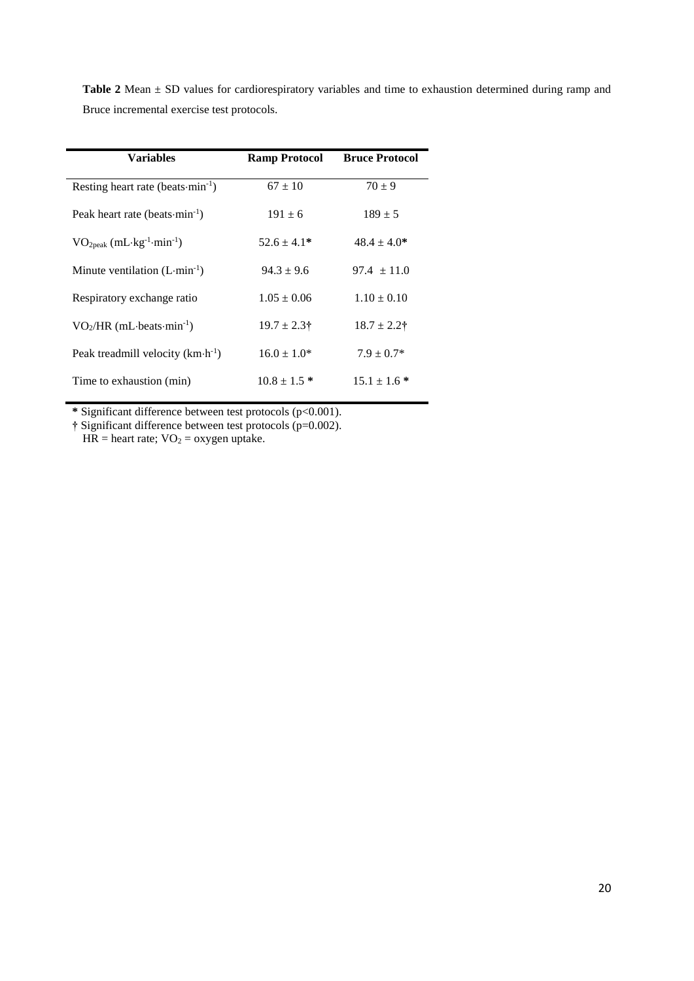Table 2 Mean  $\pm$  SD values for cardiorespiratory variables and time to exhaustion determined during ramp and Bruce incremental exercise test protocols.

| <b>Variables</b>                                      | <b>Ramp Protocol</b> | <b>Bruce Protocol</b> |
|-------------------------------------------------------|----------------------|-----------------------|
| Resting heart rate (beats $\cdot$ min <sup>-1</sup> ) | $67 \pm 10$          | $70 + 9$              |
| Peak heart rate (beats $\cdot$ min <sup>-1</sup> )    | $191 \pm 6$          | $189 \pm 5$           |
| $VO2peak (mL·kg-1·min-1)$                             | $52.6 \pm 4.1*$      | $48.4 \pm 4.0*$       |
| Minute ventilation $(L \cdot min^{-1})$               | $94.3 + 9.6$         | $97.4 \pm 11.0$       |
| Respiratory exchange ratio                            | $1.05 \pm 0.06$      | $1.10 \pm 0.10$       |
| $VO2/HR (mL-beats·min-1)$                             | $19.7 \pm 2.3$ †     | $18.7 \pm 2.2$ †      |
| Peak treadmill velocity $(km \cdot h^{-1})$           | $16.0 \pm 1.0^*$     | $7.9 \pm 0.7*$        |
| Time to exhaustion (min)                              | $10.8 \pm 1.5$ *     | $15.1 \pm 1.6*$       |

**\*** Significant difference between test protocols (p<0.001).

**†** Significant difference between test protocols (p=0.002).

 $HR = heart$  rate;  $VO<sub>2</sub> = oxygen$  uptake.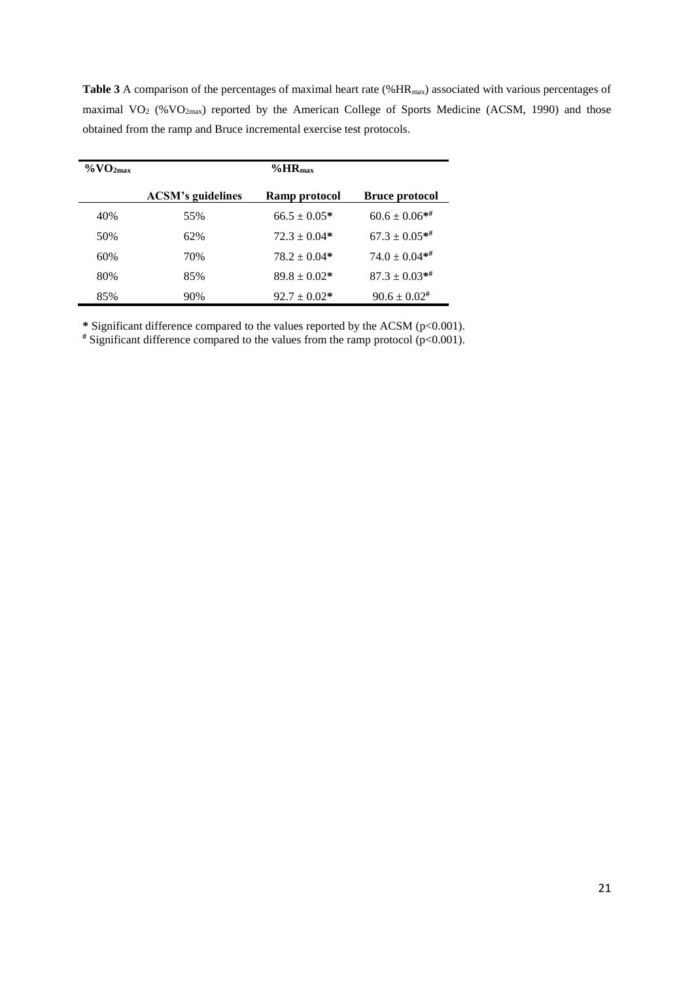| $\%$ VO <sub>2max</sub> | $\%$ HR <sub>max</sub>   |                  |                       |  |  |  |
|-------------------------|--------------------------|------------------|-----------------------|--|--|--|
|                         | <b>ACSM's guidelines</b> | Ramp protocol    | <b>Bruce protocol</b> |  |  |  |
| 40%                     | 55%                      | $66.5 \pm 0.05*$ | $60.6 \pm 0.06**$     |  |  |  |
| 50%                     | 62%                      | $72.3 \pm 0.04*$ | $67.3 \pm 0.05**$     |  |  |  |
| 60%                     | 70%                      | $78.2 + 0.04*$   | $74.0 \pm 0.04**$     |  |  |  |
| 80%                     | 85%                      | $89.8 \pm 0.02*$ | $87.3 \pm 0.03**$     |  |  |  |
| 85%                     | 90%                      | $92.7 \pm 0.02*$ | $90.6 \pm 0.02$ #     |  |  |  |

Table 3 A comparison of the percentages of maximal heart rate (%HR<sub>max</sub>) associated with various percentages of maximal VO<sub>2</sub> (%VO<sub>2max</sub>) reported by the American College of Sports Medicine (ACSM, 1990) and those obtained from the ramp and Bruce incremental exercise test protocols.

**\*** Significant difference compared to the values reported by the ACSM (p<0.001).

**#** Significant difference compared to the values from the ramp protocol (p<0.001).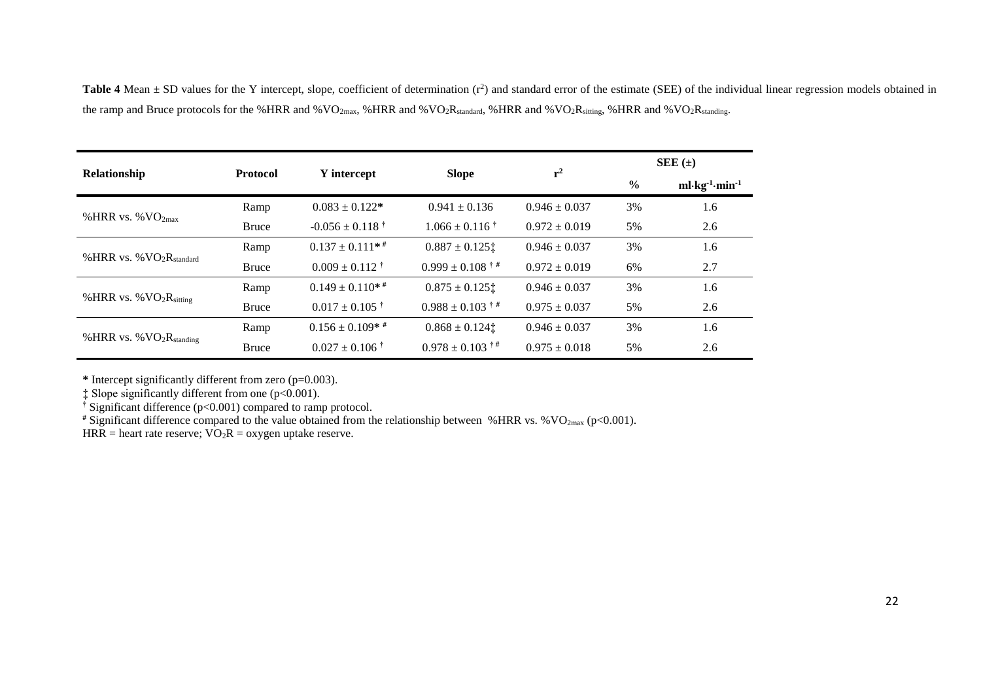Table 4 Mean  $\pm$  SD values for the Y intercept, slope, coefficient of determination (r<sup>2</sup>) and standard error of the estimate (SEE) of the individual linear regression models obtained in the ramp and Bruce protocols for the %HRR and %VO<sub>2max</sub>, %HRR and %VO<sub>2</sub>R<sub>standard</sub>, %HRR and %VO<sub>2</sub>R<sub>sitting</sub>, %HRR and %VO<sub>2</sub>R<sub>standing</sub>.

|                            |                 |                                  |                                                     | $r^2$             | $SEE(\pm)$    |                                                     |
|----------------------------|-----------------|----------------------------------|-----------------------------------------------------|-------------------|---------------|-----------------------------------------------------|
| Relationship               | <b>Protocol</b> | Y intercept                      | <b>Slope</b>                                        |                   | $\frac{0}{0}$ | ml $\cdot$ kg <sup>1</sup> $\cdot$ min <sup>1</sup> |
| %HRR vs. % $VO_{2max}$     | Ramp            | $0.083 \pm 0.122*$               | $0.941 \pm 0.136$                                   | $0.946 \pm 0.037$ | 3%            | 1.6                                                 |
|                            | Bruce           | $-0.056 \pm 0.118$ <sup>†</sup>  | $1.066 \pm 0.116$ <sup>†</sup>                      | $0.972 \pm 0.019$ | 5%            | 2.6                                                 |
| % HRR vs. % $VO2Rstandard$ | Ramp            | $0.137 \pm 0.111$ * <sup>#</sup> | $0.887 \pm 0.125$                                   | $0.946 \pm 0.037$ | 3%            | 1.6                                                 |
|                            | <b>Bruce</b>    | $0.009 \pm 0.112$ <sup>†</sup>   | $0.999 \pm 0.108$ <sup><math>\dagger</math></sup> # | $0.972 \pm 0.019$ | 6%            | 2.7                                                 |
| % HRR vs. % $VO2Rsitting$  | Ramp            | $0.149 \pm 0.110**$              | $0.875 \pm 0.125$                                   | $0.946 \pm 0.037$ | 3%            | 1.6                                                 |
|                            | Bruce           | $0.017 \pm 0.105$ †              | $0.988 \pm 0.103$ <sup>†#</sup>                     | $0.975 \pm 0.037$ | 5%            | 2.6                                                 |
| % HRR vs. % $VO2Rstanding$ | Ramp            | $0.156 \pm 0.109$ * #            | $0.868 \pm 0.124$                                   | $0.946 \pm 0.037$ | 3%            | 1.6                                                 |
|                            | Bruce           | $0.027 \pm 0.106$ <sup>†</sup>   | $0.978 \pm 0.103$ <sup>†#</sup>                     | $0.975 \pm 0.018$ | 5%            | 2.6                                                 |

**\*** Intercept significantly different from zero (p=0.003).

 $\ddagger$  Slope significantly different from one (p<0.001).

**†** Significant difference (p<0.001) compared to ramp protocol.

<sup>#</sup> Significant difference compared to the value obtained from the relationship between %HRR vs. %VO<sub>2max</sub> (p<0.001).

HRR = heart rate reserve;  $\overline{VO_2R}$  = oxygen uptake reserve.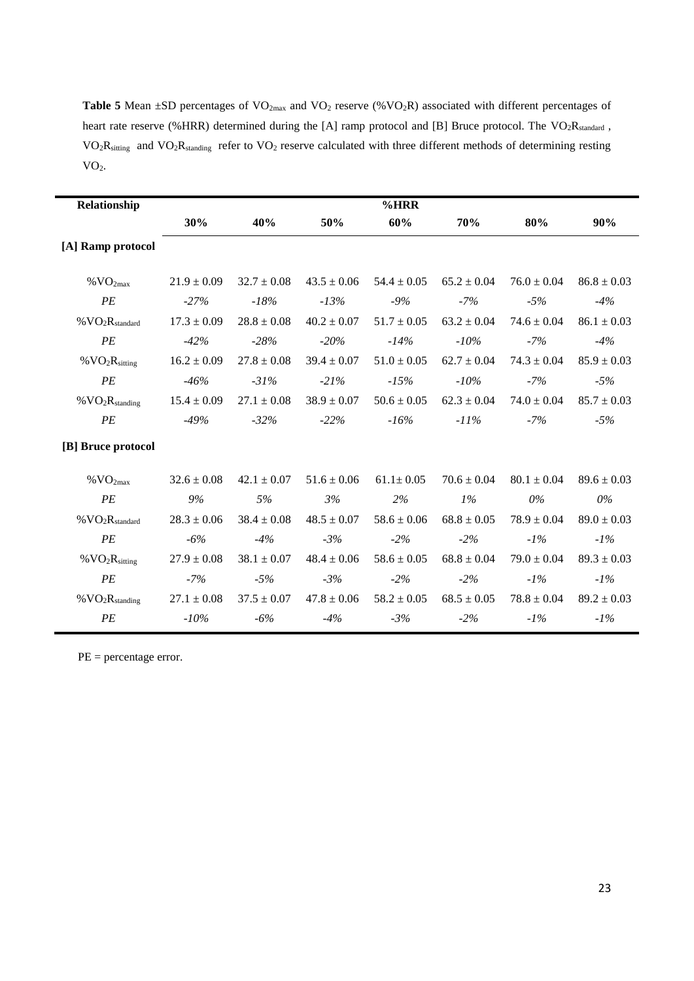Table 5 Mean  $\pm$ SD percentages of VO<sub>2max</sub> and VO<sub>2</sub> reserve (%VO<sub>2</sub>R) associated with different percentages of heart rate reserve (%HRR) determined during the [A] ramp protocol and [B] Bruce protocol. The VO<sub>2</sub>R<sub>standard</sub>, VO<sub>2</sub>R<sub>sitting</sub> and VO<sub>2</sub>R<sub>standing</sub> refer to VO<sub>2</sub> reserve calculated with three different methods of determining resting  $VO<sub>2</sub>$ .

| Relationship                               |                 |                 |                 | % HRR           |                 |                 |                 |
|--------------------------------------------|-----------------|-----------------|-----------------|-----------------|-----------------|-----------------|-----------------|
|                                            | 30%             | 40%             | 50%             | 60%             | 70%             | 80%             | 90%             |
| [A] Ramp protocol                          |                 |                 |                 |                 |                 |                 |                 |
| $\%$ VO <sub>2max</sub>                    | $21.9 \pm 0.09$ | $32.7 \pm 0.08$ | $43.5 \pm 0.06$ | $54.4 \pm 0.05$ | $65.2 \pm 0.04$ | $76.0 \pm 0.04$ | $86.8 \pm 0.03$ |
| PE                                         | $-27%$          | $-18%$          | $-13%$          | $-9%$           | $-7%$           | $-5%$           | $-4%$           |
| $\%$ VO <sub>2</sub> R <sub>standard</sub> | $17.3 \pm 0.09$ | $28.8 \pm 0.08$ | $40.2 \pm 0.07$ | $51.7 \pm 0.05$ | $63.2 \pm 0.04$ | $74.6 \pm 0.04$ | $86.1 \pm 0.03$ |
| PE                                         | $-42%$          | $-28%$          | $-20%$          | $-14%$          | $-10%$          | $-7%$           | $-4%$           |
| % $VO_2R_{sitting}$                        | $16.2 \pm 0.09$ | $27.8 \pm 0.08$ | $39.4 \pm 0.07$ | $51.0 \pm 0.05$ | $62.7 \pm 0.04$ | $74.3 \pm 0.04$ | $85.9 \pm 0.03$ |
| PE                                         | $-46%$          | $-31%$          | $-21%$          | $-15%$          | $-10%$          | $-7%$           | $-5%$           |
| $\%$ VO <sub>2</sub> R <sub>standing</sub> | $15.4 \pm 0.09$ | $27.1 \pm 0.08$ | $38.9 \pm 0.07$ | $50.6 \pm 0.05$ | $62.3 \pm 0.04$ | $74.0 \pm 0.04$ | $85.7 \pm 0.03$ |
| PE                                         | $-49%$          | $-32\%$         | $-22%$          | $-16%$          | $-11\%$         | $-7%$           | $-5%$           |
| [B] Bruce protocol                         |                 |                 |                 |                 |                 |                 |                 |
| $\%$ VO <sub>2max</sub>                    | $32.6 \pm 0.08$ | $42.1 \pm 0.07$ | $51.6 \pm 0.06$ | $61.1 \pm 0.05$ | $70.6 \pm 0.04$ | $80.1 \pm 0.04$ | $89.6 \pm 0.03$ |
| PE                                         | 9%              | 5%              | 3%              | 2%              | $1\%$           | $0\%$           | $0\%$           |
| %VO <sub>2</sub> R <sub>standard</sub>     | $28.3 \pm 0.06$ | $38.4 \pm 0.08$ | $48.5 \pm 0.07$ | $58.6 \pm 0.06$ | $68.8 \pm 0.05$ | $78.9 \pm 0.04$ | $89.0 \pm 0.03$ |
| PE                                         | $-6%$           | $-4%$           | $-3%$           | $-2%$           | $-2%$           | $-1\%$          | $-1\%$          |
| %VO <sub>2</sub> R <sub>sitting</sub>      | $27.9 \pm 0.08$ | $38.1 \pm 0.07$ | $48.4 \pm 0.06$ | $58.6 \pm 0.05$ | $68.8 \pm 0.04$ | $79.0 \pm 0.04$ | $89.3 \pm 0.03$ |
| PE                                         | $-7%$           | $-5%$           | $-3%$           | $-2%$           | $-2%$           | $-1\%$          | $-1\%$          |
| %VO <sub>2</sub> R <sub>standing</sub>     | $27.1 \pm 0.08$ | $37.5 \pm 0.07$ | $47.8 \pm 0.06$ | $58.2 \pm 0.05$ | $68.5 \pm 0.05$ | $78.8 \pm 0.04$ | $89.2 \pm 0.03$ |
| PE                                         | $-10%$          | $-6%$           | $-4%$           | $-3%$           | $-2%$           | $-1\%$          | $-1\%$          |

PE = percentage error.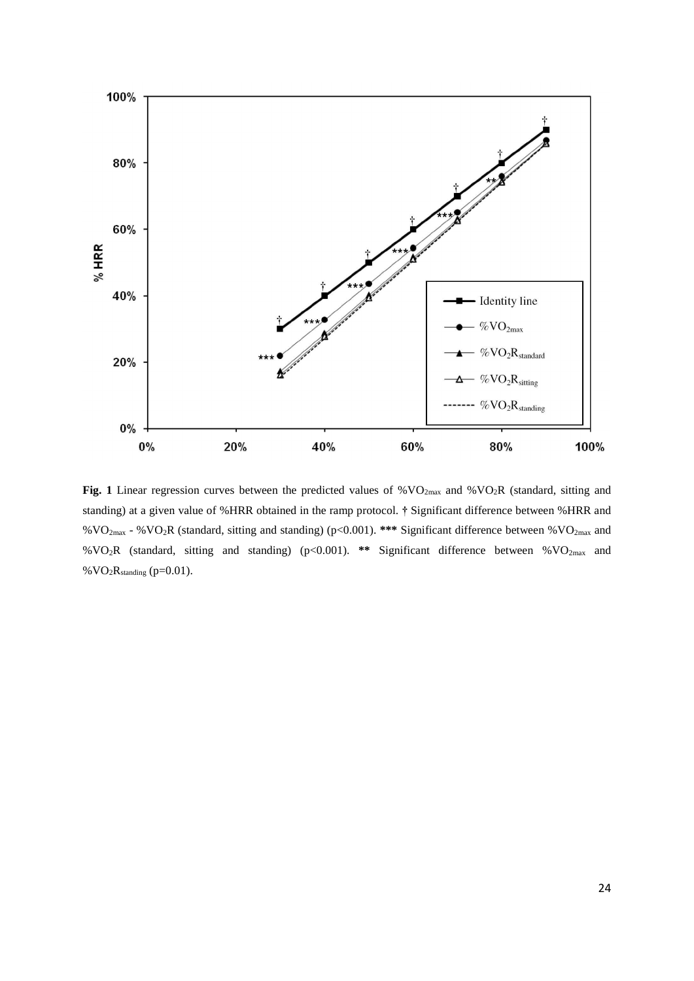

Fig. 1 Linear regression curves between the predicted values of %VO<sub>2max</sub> and %VO<sub>2</sub>R (standard, sitting and standing) at a given value of %HRR obtained in the ramp protocol. **†** Significant difference between %HRR and %VO2max - %VO2R (standard, sitting and standing) (p<0.001). **\*\*\*** Significant difference between %VO2max and %VO2R (standard, sitting and standing) (p<0.001). **\*\*** Significant difference between %VO2max and %  $VO<sub>2</sub>R<sub>standing</sub>$  (p=0.01).